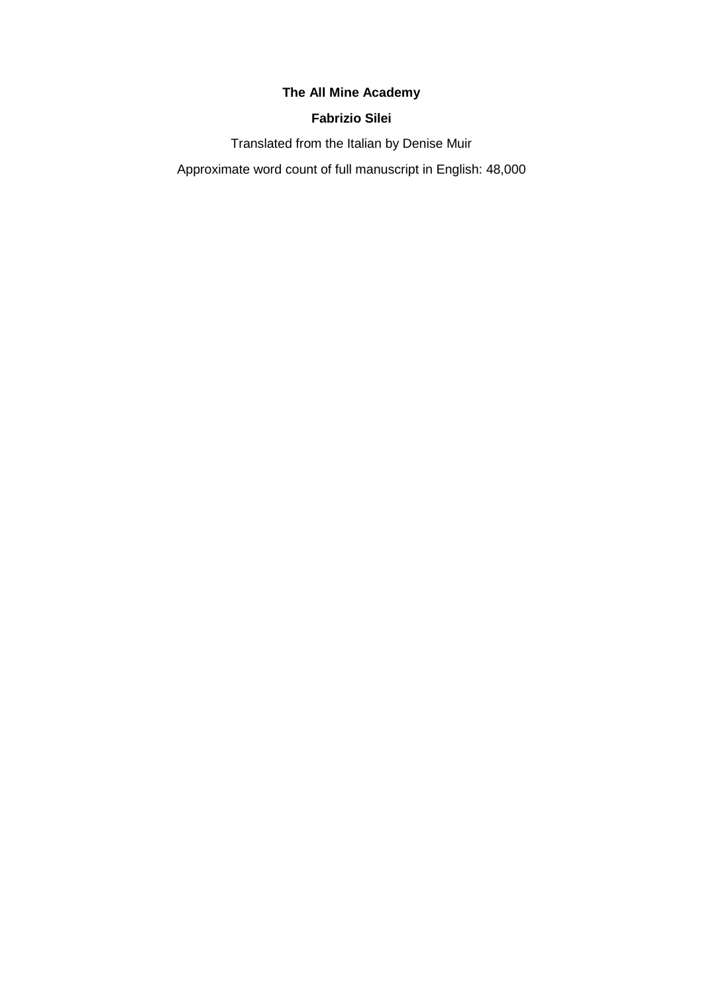# **The All Mine Academy**

# **Fabrizio Silei**

Translated from the Italian by Denise Muir

Approximate word count of full manuscript in English: 48,000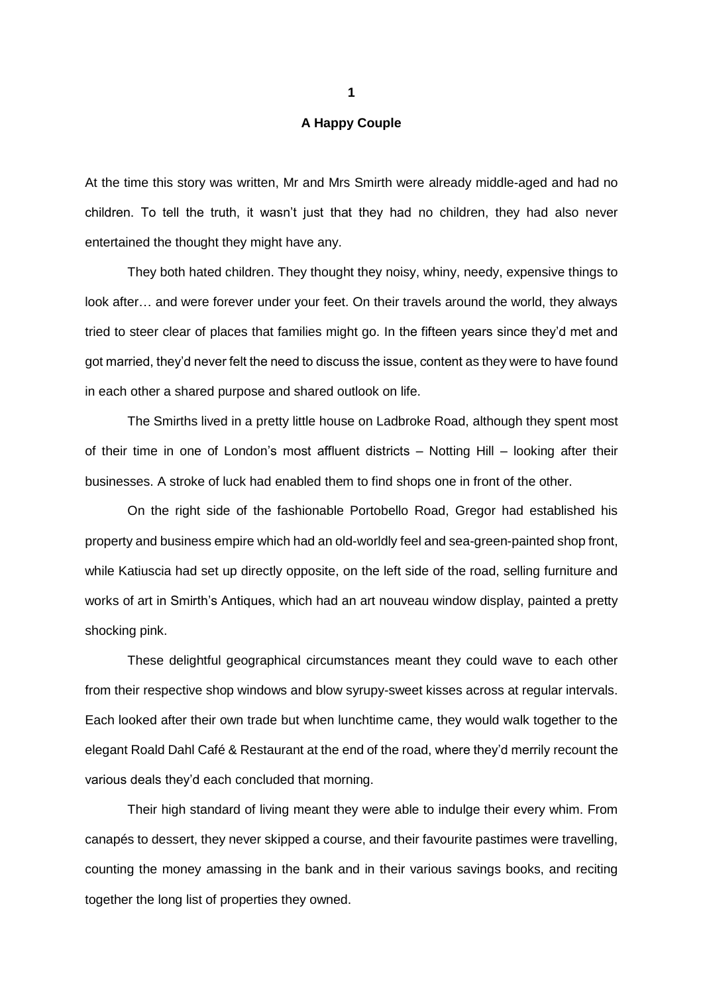### **A Happy Couple**

At the time this story was written, Mr and Mrs Smirth were already middle-aged and had no children. To tell the truth, it wasn't just that they had no children, they had also never entertained the thought they might have any.

They both hated children. They thought they noisy, whiny, needy, expensive things to look after… and were forever under your feet. On their travels around the world, they always tried to steer clear of places that families might go. In the fifteen years since they'd met and got married, they'd never felt the need to discuss the issue, content as they were to have found in each other a shared purpose and shared outlook on life.

The Smirths lived in a pretty little house on Ladbroke Road, although they spent most of their time in one of London's most affluent districts – Notting Hill – looking after their businesses. A stroke of luck had enabled them to find shops one in front of the other.

On the right side of the fashionable Portobello Road, Gregor had established his property and business empire which had an old-worldly feel and sea-green-painted shop front, while Katiuscia had set up directly opposite, on the left side of the road, selling furniture and works of art in Smirth's Antiques, which had an art nouveau window display, painted a pretty shocking pink.

These delightful geographical circumstances meant they could wave to each other from their respective shop windows and blow syrupy-sweet kisses across at regular intervals. Each looked after their own trade but when lunchtime came, they would walk together to the elegant Roald Dahl Café & Restaurant at the end of the road, where they'd merrily recount the various deals they'd each concluded that morning.

Their high standard of living meant they were able to indulge their every whim. From canapés to dessert, they never skipped a course, and their favourite pastimes were travelling, counting the money amassing in the bank and in their various savings books, and reciting together the long list of properties they owned.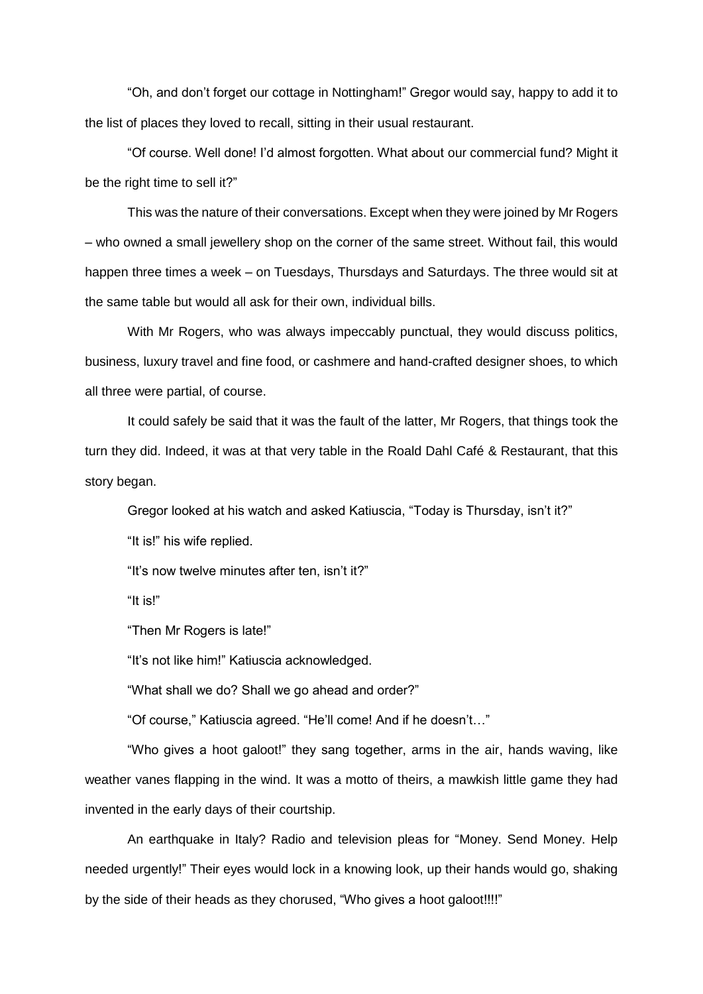"Oh, and don't forget our cottage in Nottingham!" Gregor would say, happy to add it to the list of places they loved to recall, sitting in their usual restaurant.

"Of course. Well done! I'd almost forgotten. What about our commercial fund? Might it be the right time to sell it?"

This was the nature of their conversations. Except when they were joined by Mr Rogers – who owned a small jewellery shop on the corner of the same street. Without fail, this would happen three times a week – on Tuesdays, Thursdays and Saturdays. The three would sit at the same table but would all ask for their own, individual bills.

With Mr Rogers, who was always impeccably punctual, they would discuss politics, business, luxury travel and fine food, or cashmere and hand-crafted designer shoes, to which all three were partial, of course.

It could safely be said that it was the fault of the latter, Mr Rogers, that things took the turn they did. Indeed, it was at that very table in the Roald Dahl Café & Restaurant, that this story began.

Gregor looked at his watch and asked Katiuscia, "Today is Thursday, isn't it?"

"It is!" his wife replied.

"It's now twelve minutes after ten, isn't it?"

"It is!"

"Then Mr Rogers is late!"

"It's not like him!" Katiuscia acknowledged.

"What shall we do? Shall we go ahead and order?"

"Of course," Katiuscia agreed. "He'll come! And if he doesn't…"

"Who gives a hoot galoot!" they sang together, arms in the air, hands waving, like weather vanes flapping in the wind. It was a motto of theirs, a mawkish little game they had invented in the early days of their courtship.

An earthquake in Italy? Radio and television pleas for "Money. Send Money. Help needed urgently!" Their eyes would lock in a knowing look, up their hands would go, shaking by the side of their heads as they chorused, "Who gives a hoot galoot!!!!"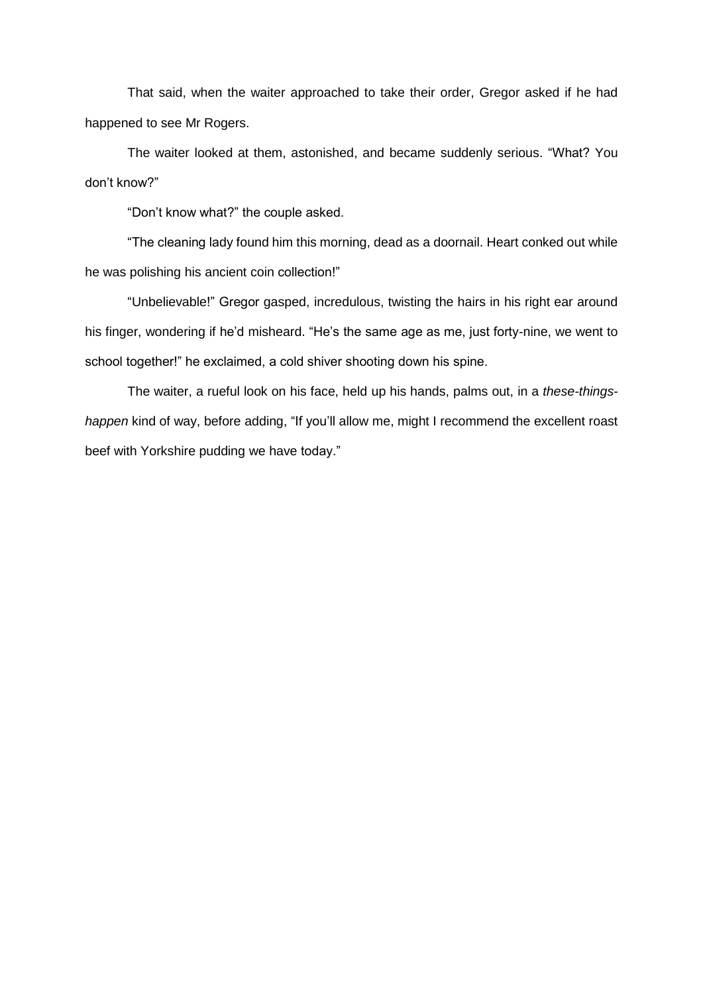That said, when the waiter approached to take their order, Gregor asked if he had happened to see Mr Rogers.

The waiter looked at them, astonished, and became suddenly serious. "What? You don't know?"

"Don't know what?" the couple asked.

"The cleaning lady found him this morning, dead as a doornail. Heart conked out while he was polishing his ancient coin collection!"

"Unbelievable!" Gregor gasped, incredulous, twisting the hairs in his right ear around his finger, wondering if he'd misheard. "He's the same age as me, just forty-nine, we went to school together!" he exclaimed, a cold shiver shooting down his spine.

The waiter, a rueful look on his face, held up his hands, palms out, in a *these-thingshappen* kind of way, before adding, "If you'll allow me, might I recommend the excellent roast beef with Yorkshire pudding we have today."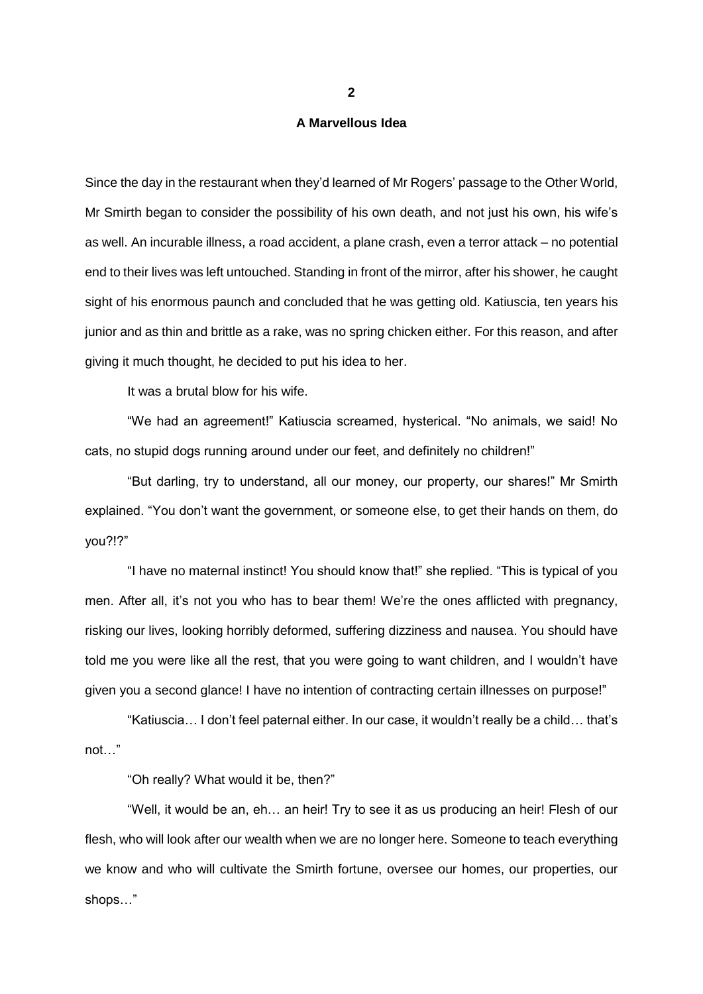### **A Marvellous Idea**

Since the day in the restaurant when they'd learned of Mr Rogers' passage to the Other World, Mr Smirth began to consider the possibility of his own death, and not just his own, his wife's as well. An incurable illness, a road accident, a plane crash, even a terror attack – no potential end to their lives was left untouched. Standing in front of the mirror, after his shower, he caught sight of his enormous paunch and concluded that he was getting old. Katiuscia, ten years his junior and as thin and brittle as a rake, was no spring chicken either. For this reason, and after giving it much thought, he decided to put his idea to her.

It was a brutal blow for his wife.

"We had an agreement!" Katiuscia screamed, hysterical. "No animals, we said! No cats, no stupid dogs running around under our feet, and definitely no children!"

"But darling, try to understand, all our money, our property, our shares!" Mr Smirth explained. "You don't want the government, or someone else, to get their hands on them, do you?!?"

"I have no maternal instinct! You should know that!" she replied. "This is typical of you men. After all, it's not you who has to bear them! We're the ones afflicted with pregnancy, risking our lives, looking horribly deformed, suffering dizziness and nausea. You should have told me you were like all the rest, that you were going to want children, and I wouldn't have given you a second glance! I have no intention of contracting certain illnesses on purpose!"

"Katiuscia… I don't feel paternal either. In our case, it wouldn't really be a child… that's not…"

"Oh really? What would it be, then?"

"Well, it would be an, eh… an heir! Try to see it as us producing an heir! Flesh of our flesh, who will look after our wealth when we are no longer here. Someone to teach everything we know and who will cultivate the Smirth fortune, oversee our homes, our properties, our shops…"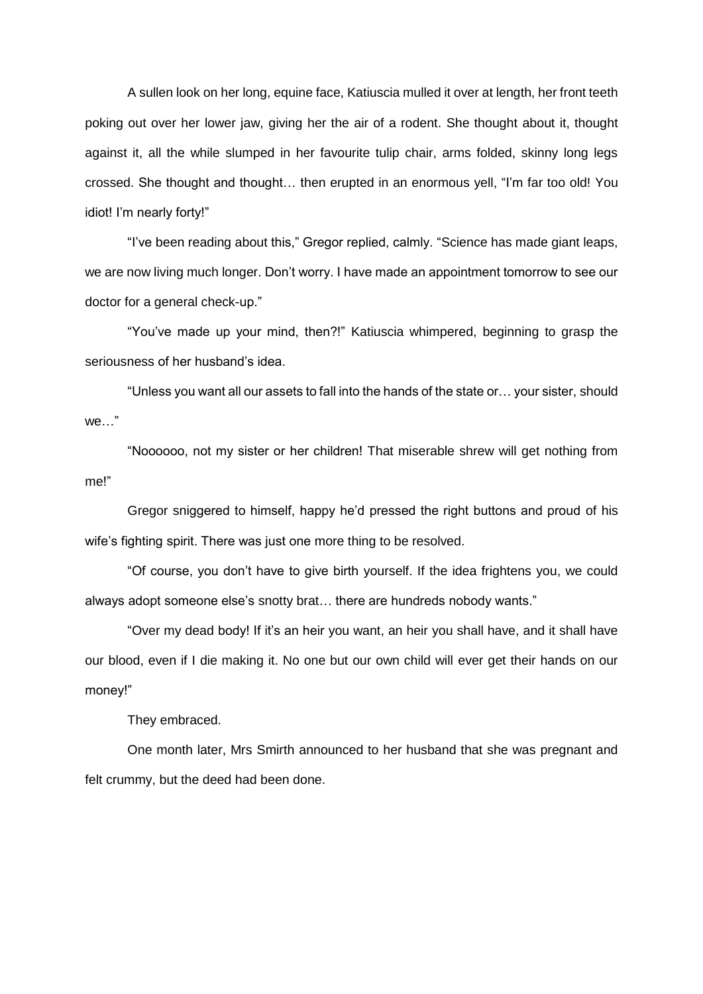A sullen look on her long, equine face, Katiuscia mulled it over at length, her front teeth poking out over her lower jaw, giving her the air of a rodent. She thought about it, thought against it, all the while slumped in her favourite tulip chair, arms folded, skinny long legs crossed. She thought and thought… then erupted in an enormous yell, "I'm far too old! You idiot! I'm nearly forty!"

"I've been reading about this," Gregor replied, calmly. "Science has made giant leaps, we are now living much longer. Don't worry. I have made an appointment tomorrow to see our doctor for a general check-up."

"You've made up your mind, then?!" Katiuscia whimpered, beginning to grasp the seriousness of her husband's idea.

"Unless you want all our assets to fall into the hands of the state or… your sister, should we…"

"Noooooo, not my sister or her children! That miserable shrew will get nothing from me!"

Gregor sniggered to himself, happy he'd pressed the right buttons and proud of his wife's fighting spirit. There was just one more thing to be resolved.

"Of course, you don't have to give birth yourself. If the idea frightens you, we could always adopt someone else's snotty brat… there are hundreds nobody wants."

"Over my dead body! If it's an heir you want, an heir you shall have, and it shall have our blood, even if I die making it. No one but our own child will ever get their hands on our money!"

They embraced.

One month later, Mrs Smirth announced to her husband that she was pregnant and felt crummy, but the deed had been done.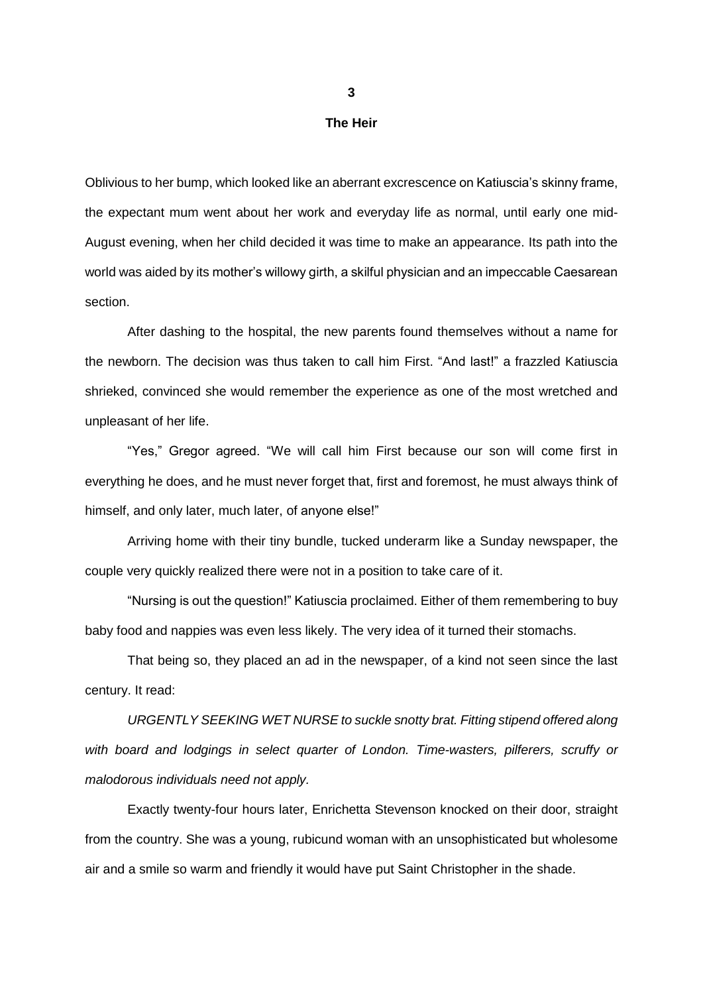### **The Heir**

Oblivious to her bump, which looked like an aberrant excrescence on Katiuscia's skinny frame, the expectant mum went about her work and everyday life as normal, until early one mid-August evening, when her child decided it was time to make an appearance. Its path into the world was aided by its mother's willowy girth, a skilful physician and an impeccable Caesarean section.

After dashing to the hospital, the new parents found themselves without a name for the newborn. The decision was thus taken to call him First. "And last!" a frazzled Katiuscia shrieked, convinced she would remember the experience as one of the most wretched and unpleasant of her life.

"Yes," Gregor agreed. "We will call him First because our son will come first in everything he does, and he must never forget that, first and foremost, he must always think of himself, and only later, much later, of anyone else!"

Arriving home with their tiny bundle, tucked underarm like a Sunday newspaper, the couple very quickly realized there were not in a position to take care of it.

"Nursing is out the question!" Katiuscia proclaimed. Either of them remembering to buy baby food and nappies was even less likely. The very idea of it turned their stomachs.

That being so, they placed an ad in the newspaper, of a kind not seen since the last century. It read:

*URGENTLY SEEKING WET NURSE to suckle snotty brat. Fitting stipend offered along with board and lodgings in select quarter of London. Time-wasters, pilferers, scruffy or malodorous individuals need not apply.*

Exactly twenty-four hours later, Enrichetta Stevenson knocked on their door, straight from the country. She was a young, rubicund woman with an unsophisticated but wholesome air and a smile so warm and friendly it would have put Saint Christopher in the shade.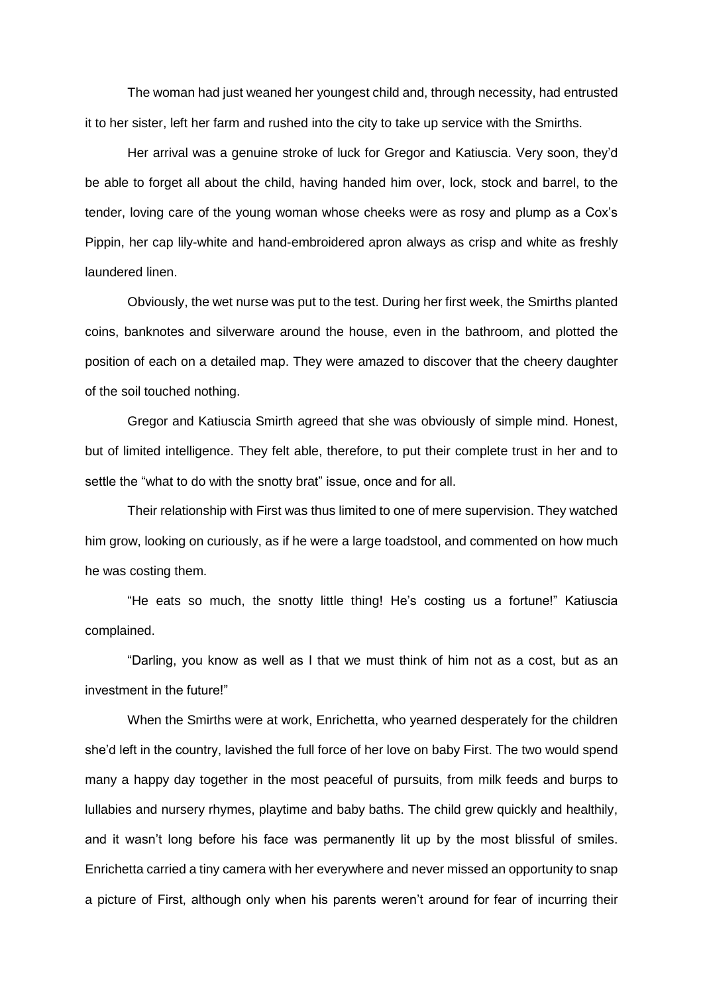The woman had just weaned her youngest child and, through necessity, had entrusted it to her sister, left her farm and rushed into the city to take up service with the Smirths.

Her arrival was a genuine stroke of luck for Gregor and Katiuscia. Very soon, they'd be able to forget all about the child, having handed him over, lock, stock and barrel, to the tender, loving care of the young woman whose cheeks were as rosy and plump as a Cox's Pippin, her cap lily-white and hand-embroidered apron always as crisp and white as freshly laundered linen.

Obviously, the wet nurse was put to the test. During her first week, the Smirths planted coins, banknotes and silverware around the house, even in the bathroom, and plotted the position of each on a detailed map. They were amazed to discover that the cheery daughter of the soil touched nothing.

Gregor and Katiuscia Smirth agreed that she was obviously of simple mind. Honest, but of limited intelligence. They felt able, therefore, to put their complete trust in her and to settle the "what to do with the snotty brat" issue, once and for all.

Their relationship with First was thus limited to one of mere supervision. They watched him grow, looking on curiously, as if he were a large toadstool, and commented on how much he was costing them.

"He eats so much, the snotty little thing! He's costing us a fortune!" Katiuscia complained.

"Darling, you know as well as I that we must think of him not as a cost, but as an investment in the future!"

When the Smirths were at work, Enrichetta, who yearned desperately for the children she'd left in the country, lavished the full force of her love on baby First. The two would spend many a happy day together in the most peaceful of pursuits, from milk feeds and burps to lullabies and nursery rhymes, playtime and baby baths. The child grew quickly and healthily, and it wasn't long before his face was permanently lit up by the most blissful of smiles. Enrichetta carried a tiny camera with her everywhere and never missed an opportunity to snap a picture of First, although only when his parents weren't around for fear of incurring their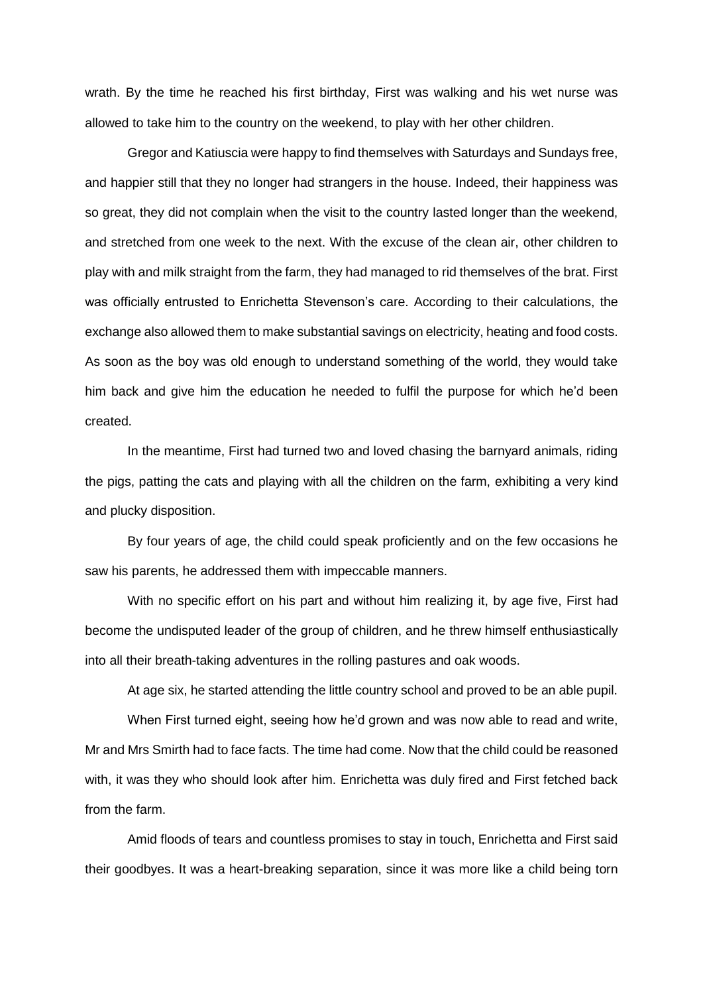wrath. By the time he reached his first birthday, First was walking and his wet nurse was allowed to take him to the country on the weekend, to play with her other children.

Gregor and Katiuscia were happy to find themselves with Saturdays and Sundays free, and happier still that they no longer had strangers in the house. Indeed, their happiness was so great, they did not complain when the visit to the country lasted longer than the weekend, and stretched from one week to the next. With the excuse of the clean air, other children to play with and milk straight from the farm, they had managed to rid themselves of the brat. First was officially entrusted to Enrichetta Stevenson's care. According to their calculations, the exchange also allowed them to make substantial savings on electricity, heating and food costs. As soon as the boy was old enough to understand something of the world, they would take him back and give him the education he needed to fulfil the purpose for which he'd been created.

In the meantime, First had turned two and loved chasing the barnyard animals, riding the pigs, patting the cats and playing with all the children on the farm, exhibiting a very kind and plucky disposition.

By four years of age, the child could speak proficiently and on the few occasions he saw his parents, he addressed them with impeccable manners.

With no specific effort on his part and without him realizing it, by age five, First had become the undisputed leader of the group of children, and he threw himself enthusiastically into all their breath-taking adventures in the rolling pastures and oak woods.

At age six, he started attending the little country school and proved to be an able pupil.

When First turned eight, seeing how he'd grown and was now able to read and write, Mr and Mrs Smirth had to face facts. The time had come. Now that the child could be reasoned with, it was they who should look after him. Enrichetta was duly fired and First fetched back from the farm.

Amid floods of tears and countless promises to stay in touch, Enrichetta and First said their goodbyes. It was a heart-breaking separation, since it was more like a child being torn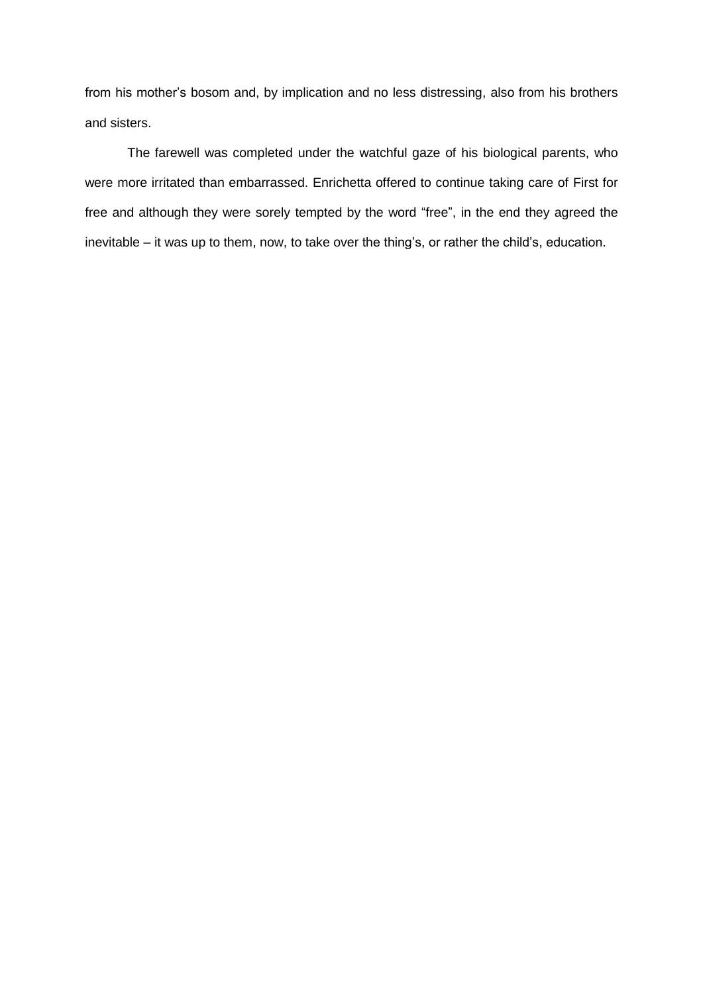from his mother's bosom and, by implication and no less distressing, also from his brothers and sisters.

The farewell was completed under the watchful gaze of his biological parents, who were more irritated than embarrassed. Enrichetta offered to continue taking care of First for free and although they were sorely tempted by the word "free", in the end they agreed the inevitable – it was up to them, now, to take over the thing's, or rather the child's, education.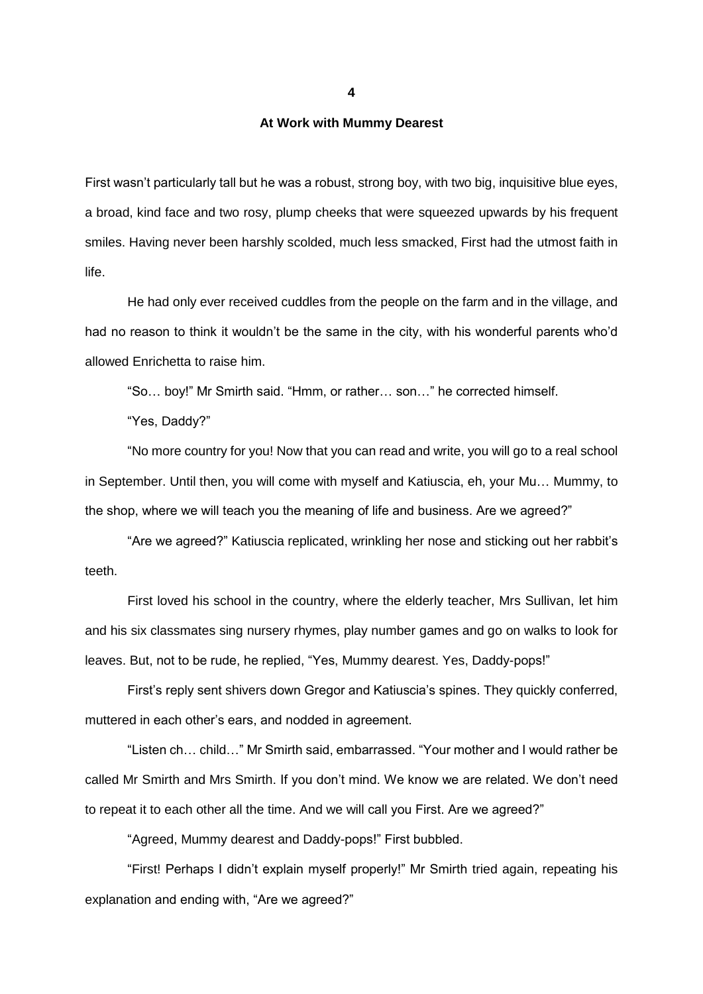**4**

## **At Work with Mummy Dearest**

First wasn't particularly tall but he was a robust, strong boy, with two big, inquisitive blue eyes, a broad, kind face and two rosy, plump cheeks that were squeezed upwards by his frequent smiles. Having never been harshly scolded, much less smacked, First had the utmost faith in life.

He had only ever received cuddles from the people on the farm and in the village, and had no reason to think it wouldn't be the same in the city, with his wonderful parents who'd allowed Enrichetta to raise him.

"So… boy!" Mr Smirth said. "Hmm, or rather… son…" he corrected himself.

"Yes, Daddy?"

"No more country for you! Now that you can read and write, you will go to a real school in September. Until then, you will come with myself and Katiuscia, eh, your Mu… Mummy, to the shop, where we will teach you the meaning of life and business. Are we agreed?"

"Are we agreed?" Katiuscia replicated, wrinkling her nose and sticking out her rabbit's teeth.

First loved his school in the country, where the elderly teacher, Mrs Sullivan, let him and his six classmates sing nursery rhymes, play number games and go on walks to look for leaves. But, not to be rude, he replied, "Yes, Mummy dearest. Yes, Daddy-pops!"

First's reply sent shivers down Gregor and Katiuscia's spines. They quickly conferred, muttered in each other's ears, and nodded in agreement.

"Listen ch… child…" Mr Smirth said, embarrassed. "Your mother and I would rather be called Mr Smirth and Mrs Smirth. If you don't mind. We know we are related. We don't need to repeat it to each other all the time. And we will call you First. Are we agreed?"

"Agreed, Mummy dearest and Daddy-pops!" First bubbled.

"First! Perhaps I didn't explain myself properly!" Mr Smirth tried again, repeating his explanation and ending with, "Are we agreed?"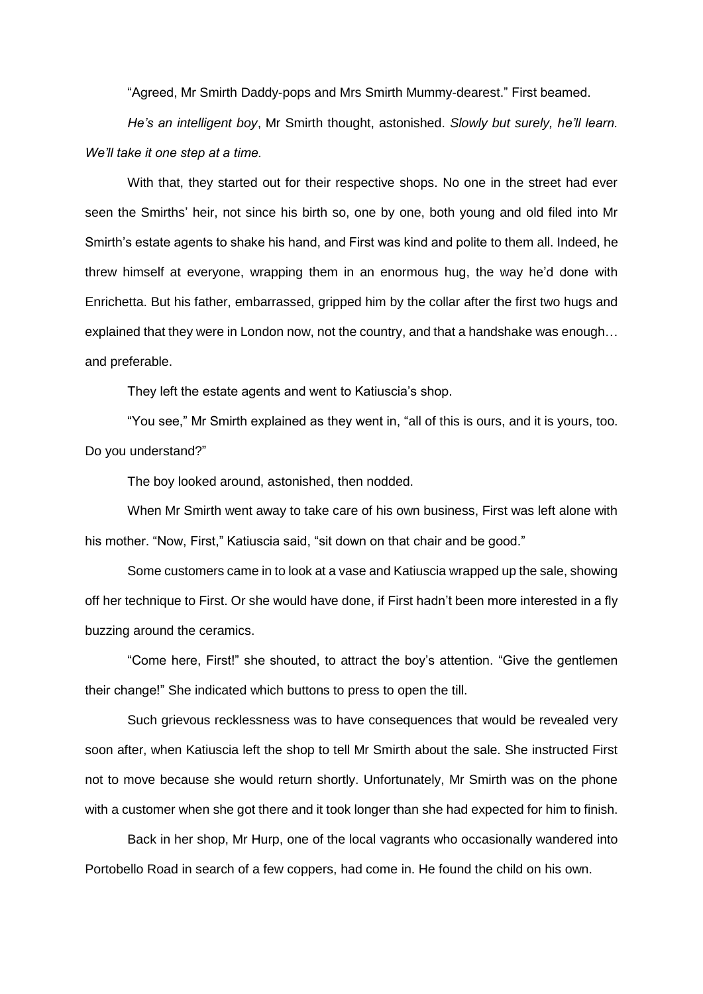"Agreed, Mr Smirth Daddy-pops and Mrs Smirth Mummy-dearest." First beamed.

*He's an intelligent boy*, Mr Smirth thought, astonished. *Slowly but surely, he'll learn. We'll take it one step at a time.*

With that, they started out for their respective shops. No one in the street had ever seen the Smirths' heir, not since his birth so, one by one, both young and old filed into Mr Smirth's estate agents to shake his hand, and First was kind and polite to them all. Indeed, he threw himself at everyone, wrapping them in an enormous hug, the way he'd done with Enrichetta. But his father, embarrassed, gripped him by the collar after the first two hugs and explained that they were in London now, not the country, and that a handshake was enough… and preferable.

They left the estate agents and went to Katiuscia's shop.

"You see," Mr Smirth explained as they went in, "all of this is ours, and it is yours, too. Do you understand?"

The boy looked around, astonished, then nodded.

When Mr Smirth went away to take care of his own business, First was left alone with his mother. "Now, First," Katiuscia said, "sit down on that chair and be good."

Some customers came in to look at a vase and Katiuscia wrapped up the sale, showing off her technique to First. Or she would have done, if First hadn't been more interested in a fly buzzing around the ceramics.

"Come here, First!" she shouted, to attract the boy's attention. "Give the gentlemen their change!" She indicated which buttons to press to open the till.

Such grievous recklessness was to have consequences that would be revealed very soon after, when Katiuscia left the shop to tell Mr Smirth about the sale. She instructed First not to move because she would return shortly. Unfortunately, Mr Smirth was on the phone with a customer when she got there and it took longer than she had expected for him to finish.

Back in her shop, Mr Hurp, one of the local vagrants who occasionally wandered into Portobello Road in search of a few coppers, had come in. He found the child on his own.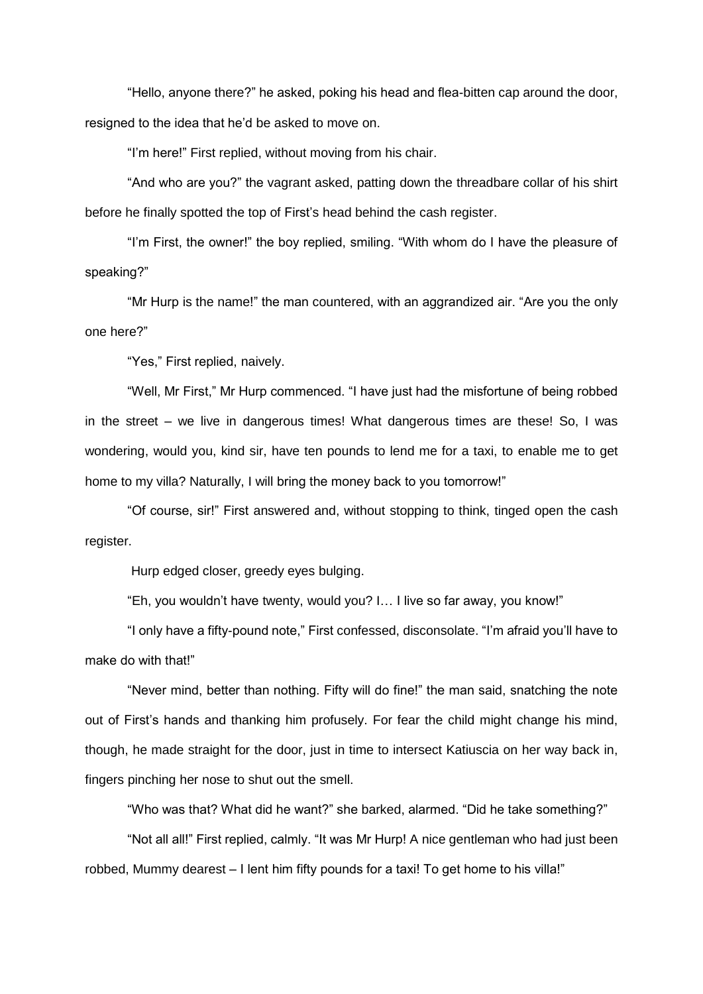"Hello, anyone there?" he asked, poking his head and flea-bitten cap around the door, resigned to the idea that he'd be asked to move on.

"I'm here!" First replied, without moving from his chair.

"And who are you?" the vagrant asked, patting down the threadbare collar of his shirt before he finally spotted the top of First's head behind the cash register.

"I'm First, the owner!" the boy replied, smiling. "With whom do I have the pleasure of speaking?"

"Mr Hurp is the name!" the man countered, with an aggrandized air. "Are you the only one here?"

"Yes," First replied, naively.

"Well, Mr First," Mr Hurp commenced. "I have just had the misfortune of being robbed in the street – we live in dangerous times! What dangerous times are these! So, I was wondering, would you, kind sir, have ten pounds to lend me for a taxi, to enable me to get home to my villa? Naturally, I will bring the money back to you tomorrow!"

"Of course, sir!" First answered and, without stopping to think, tinged open the cash register.

Hurp edged closer, greedy eyes bulging.

"Eh, you wouldn't have twenty, would you? I… I live so far away, you know!"

"I only have a fifty-pound note," First confessed, disconsolate. "I'm afraid you'll have to make do with that!"

"Never mind, better than nothing. Fifty will do fine!" the man said, snatching the note out of First's hands and thanking him profusely. For fear the child might change his mind, though, he made straight for the door, just in time to intersect Katiuscia on her way back in, fingers pinching her nose to shut out the smell.

"Who was that? What did he want?" she barked, alarmed. "Did he take something?"

"Not all all!" First replied, calmly. "It was Mr Hurp! A nice gentleman who had just been robbed, Mummy dearest – I lent him fifty pounds for a taxi! To get home to his villa!"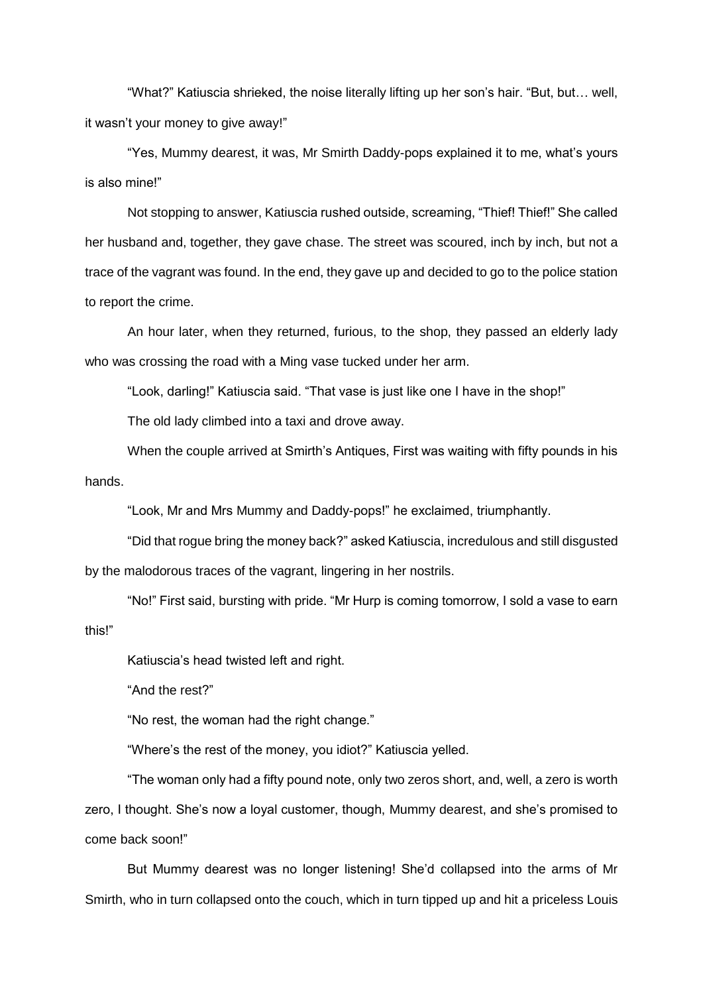"What?" Katiuscia shrieked, the noise literally lifting up her son's hair. "But, but… well, it wasn't your money to give away!"

"Yes, Mummy dearest, it was, Mr Smirth Daddy-pops explained it to me, what's yours is also mine!"

Not stopping to answer, Katiuscia rushed outside, screaming, "Thief! Thief!" She called her husband and, together, they gave chase. The street was scoured, inch by inch, but not a trace of the vagrant was found. In the end, they gave up and decided to go to the police station to report the crime.

An hour later, when they returned, furious, to the shop, they passed an elderly lady who was crossing the road with a Ming vase tucked under her arm.

"Look, darling!" Katiuscia said. "That vase is just like one I have in the shop!"

The old lady climbed into a taxi and drove away.

When the couple arrived at Smirth's Antiques, First was waiting with fifty pounds in his hands.

"Look, Mr and Mrs Mummy and Daddy-pops!" he exclaimed, triumphantly.

"Did that rogue bring the money back?" asked Katiuscia, incredulous and still disgusted by the malodorous traces of the vagrant, lingering in her nostrils.

"No!" First said, bursting with pride. "Mr Hurp is coming tomorrow, I sold a vase to earn this!"

Katiuscia's head twisted left and right.

"And the rest?"

"No rest, the woman had the right change."

"Where's the rest of the money, you idiot?" Katiuscia yelled.

"The woman only had a fifty pound note, only two zeros short, and, well, a zero is worth zero, I thought. She's now a loyal customer, though, Mummy dearest, and she's promised to come back soon!"

But Mummy dearest was no longer listening! She'd collapsed into the arms of Mr Smirth, who in turn collapsed onto the couch, which in turn tipped up and hit a priceless Louis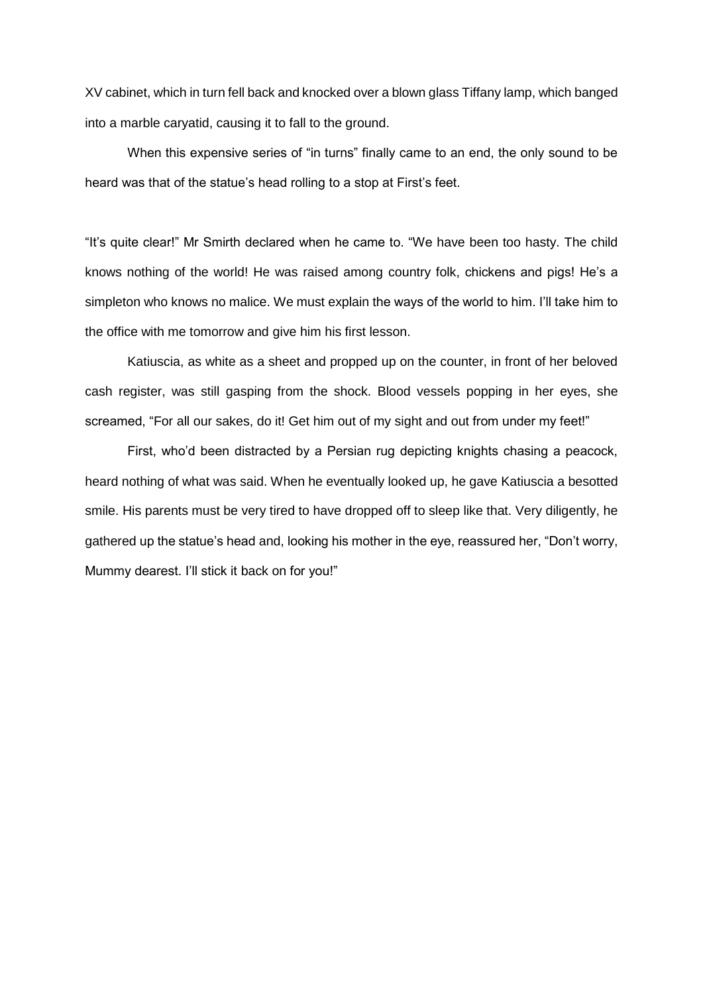XV cabinet, which in turn fell back and knocked over a blown glass Tiffany lamp, which banged into a marble caryatid, causing it to fall to the ground.

When this expensive series of "in turns" finally came to an end, the only sound to be heard was that of the statue's head rolling to a stop at First's feet.

"It's quite clear!" Mr Smirth declared when he came to. "We have been too hasty. The child knows nothing of the world! He was raised among country folk, chickens and pigs! He's a simpleton who knows no malice. We must explain the ways of the world to him. I'll take him to the office with me tomorrow and give him his first lesson.

Katiuscia, as white as a sheet and propped up on the counter, in front of her beloved cash register, was still gasping from the shock. Blood vessels popping in her eyes, she screamed, "For all our sakes, do it! Get him out of my sight and out from under my feet!"

First, who'd been distracted by a Persian rug depicting knights chasing a peacock, heard nothing of what was said. When he eventually looked up, he gave Katiuscia a besotted smile. His parents must be very tired to have dropped off to sleep like that. Very diligently, he gathered up the statue's head and, looking his mother in the eye, reassured her, "Don't worry, Mummy dearest. I'll stick it back on for you!"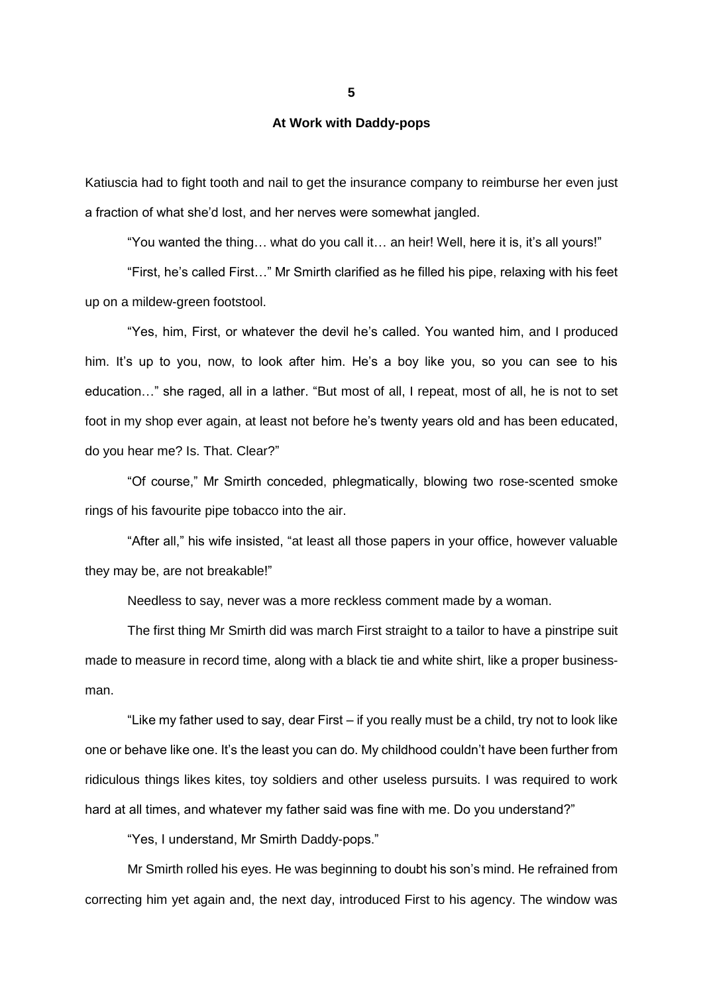**At Work with Daddy-pops**

Katiuscia had to fight tooth and nail to get the insurance company to reimburse her even just a fraction of what she'd lost, and her nerves were somewhat jangled.

"You wanted the thing… what do you call it… an heir! Well, here it is, it's all yours!"

"First, he's called First…" Mr Smirth clarified as he filled his pipe, relaxing with his feet up on a mildew-green footstool.

"Yes, him, First, or whatever the devil he's called. You wanted him, and I produced him. It's up to you, now, to look after him. He's a boy like you, so you can see to his education…" she raged, all in a lather. "But most of all, I repeat, most of all, he is not to set foot in my shop ever again, at least not before he's twenty years old and has been educated, do you hear me? Is. That. Clear?"

"Of course," Mr Smirth conceded, phlegmatically, blowing two rose-scented smoke rings of his favourite pipe tobacco into the air.

"After all," his wife insisted, "at least all those papers in your office, however valuable they may be, are not breakable!"

Needless to say, never was a more reckless comment made by a woman.

The first thing Mr Smirth did was march First straight to a tailor to have a pinstripe suit made to measure in record time, along with a black tie and white shirt, like a proper businessman.

"Like my father used to say, dear First – if you really must be a child, try not to look like one or behave like one. It's the least you can do. My childhood couldn't have been further from ridiculous things likes kites, toy soldiers and other useless pursuits. I was required to work hard at all times, and whatever my father said was fine with me. Do you understand?"

"Yes, I understand, Mr Smirth Daddy-pops."

Mr Smirth rolled his eyes. He was beginning to doubt his son's mind. He refrained from correcting him yet again and, the next day, introduced First to his agency. The window was

**5**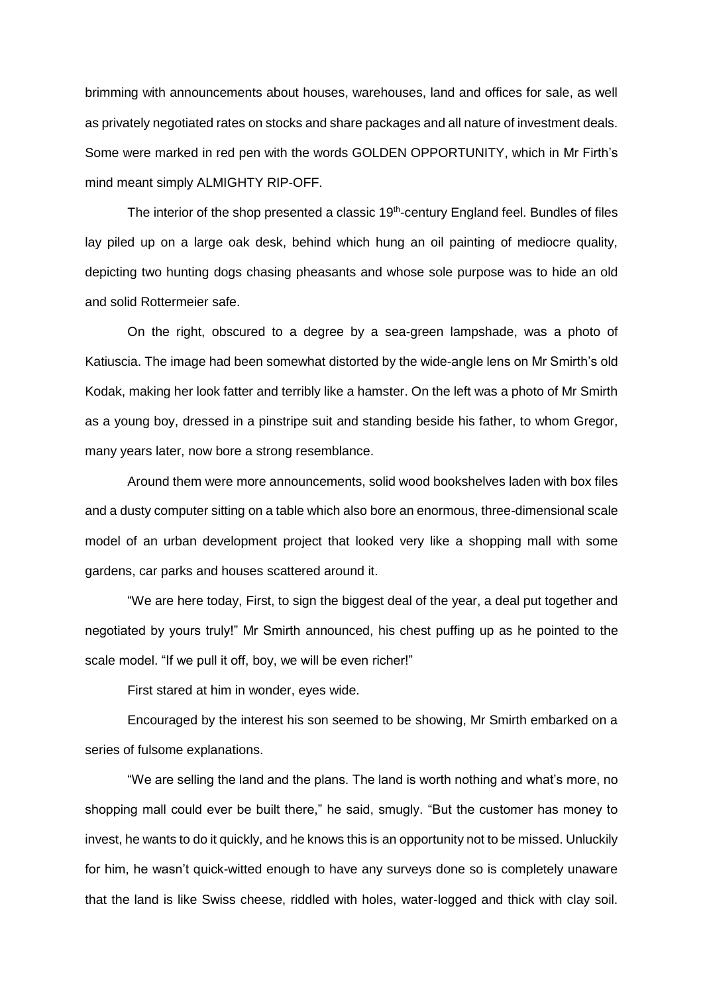brimming with announcements about houses, warehouses, land and offices for sale, as well as privately negotiated rates on stocks and share packages and all nature of investment deals. Some were marked in red pen with the words GOLDEN OPPORTUNITY, which in Mr Firth's mind meant simply ALMIGHTY RIP-OFF.

The interior of the shop presented a classic  $19<sup>th</sup>$ -century England feel. Bundles of files lay piled up on a large oak desk, behind which hung an oil painting of mediocre quality, depicting two hunting dogs chasing pheasants and whose sole purpose was to hide an old and solid Rottermeier safe.

On the right, obscured to a degree by a sea-green lampshade, was a photo of Katiuscia. The image had been somewhat distorted by the wide-angle lens on Mr Smirth's old Kodak, making her look fatter and terribly like a hamster. On the left was a photo of Mr Smirth as a young boy, dressed in a pinstripe suit and standing beside his father, to whom Gregor, many years later, now bore a strong resemblance.

Around them were more announcements, solid wood bookshelves laden with box files and a dusty computer sitting on a table which also bore an enormous, three-dimensional scale model of an urban development project that looked very like a shopping mall with some gardens, car parks and houses scattered around it.

"We are here today, First, to sign the biggest deal of the year, a deal put together and negotiated by yours truly!" Mr Smirth announced, his chest puffing up as he pointed to the scale model. "If we pull it off, boy, we will be even richer!"

First stared at him in wonder, eyes wide.

Encouraged by the interest his son seemed to be showing, Mr Smirth embarked on a series of fulsome explanations.

"We are selling the land and the plans. The land is worth nothing and what's more, no shopping mall could ever be built there," he said, smugly. "But the customer has money to invest, he wants to do it quickly, and he knows this is an opportunity not to be missed. Unluckily for him, he wasn't quick-witted enough to have any surveys done so is completely unaware that the land is like Swiss cheese, riddled with holes, water-logged and thick with clay soil.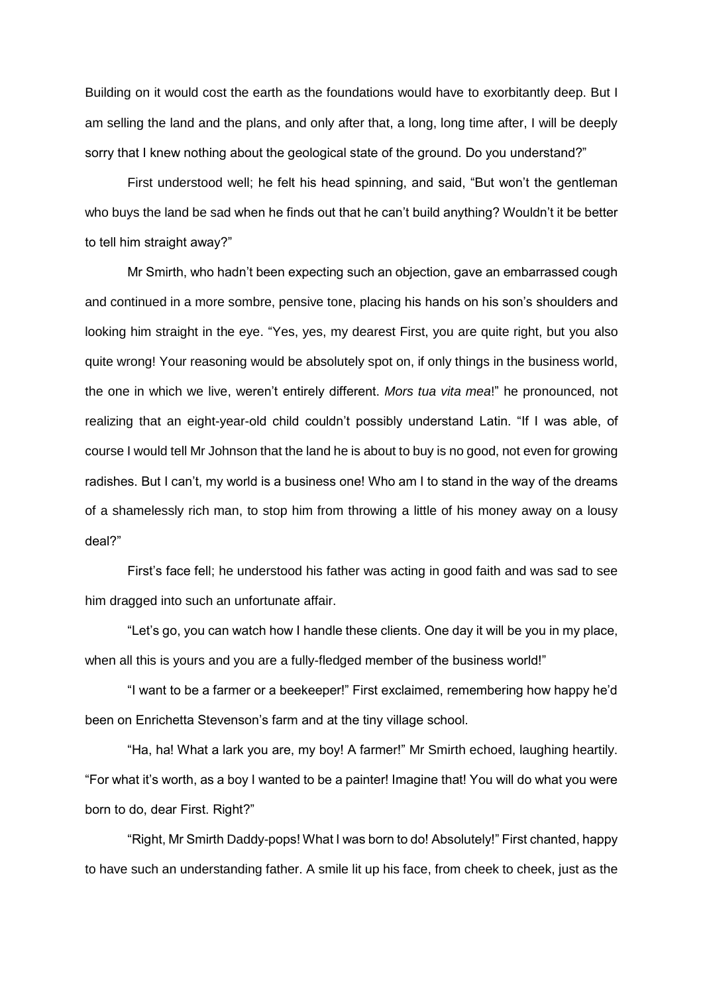Building on it would cost the earth as the foundations would have to exorbitantly deep. But I am selling the land and the plans, and only after that, a long, long time after, I will be deeply sorry that I knew nothing about the geological state of the ground. Do you understand?"

First understood well; he felt his head spinning, and said, "But won't the gentleman who buys the land be sad when he finds out that he can't build anything? Wouldn't it be better to tell him straight away?"

Mr Smirth, who hadn't been expecting such an objection, gave an embarrassed cough and continued in a more sombre, pensive tone, placing his hands on his son's shoulders and looking him straight in the eye. "Yes, yes, my dearest First, you are quite right, but you also quite wrong! Your reasoning would be absolutely spot on, if only things in the business world, the one in which we live, weren't entirely different. *Mors tua vita mea*!" he pronounced, not realizing that an eight-year-old child couldn't possibly understand Latin. "If I was able, of course I would tell Mr Johnson that the land he is about to buy is no good, not even for growing radishes. But I can't, my world is a business one! Who am I to stand in the way of the dreams of a shamelessly rich man, to stop him from throwing a little of his money away on a lousy deal?"

First's face fell; he understood his father was acting in good faith and was sad to see him dragged into such an unfortunate affair.

"Let's go, you can watch how I handle these clients. One day it will be you in my place, when all this is yours and you are a fully-fledged member of the business world!"

"I want to be a farmer or a beekeeper!" First exclaimed, remembering how happy he'd been on Enrichetta Stevenson's farm and at the tiny village school.

"Ha, ha! What a lark you are, my boy! A farmer!" Mr Smirth echoed, laughing heartily. "For what it's worth, as a boy I wanted to be a painter! Imagine that! You will do what you were born to do, dear First. Right?"

"Right, Mr Smirth Daddy-pops! What I was born to do! Absolutely!" First chanted, happy to have such an understanding father. A smile lit up his face, from cheek to cheek, just as the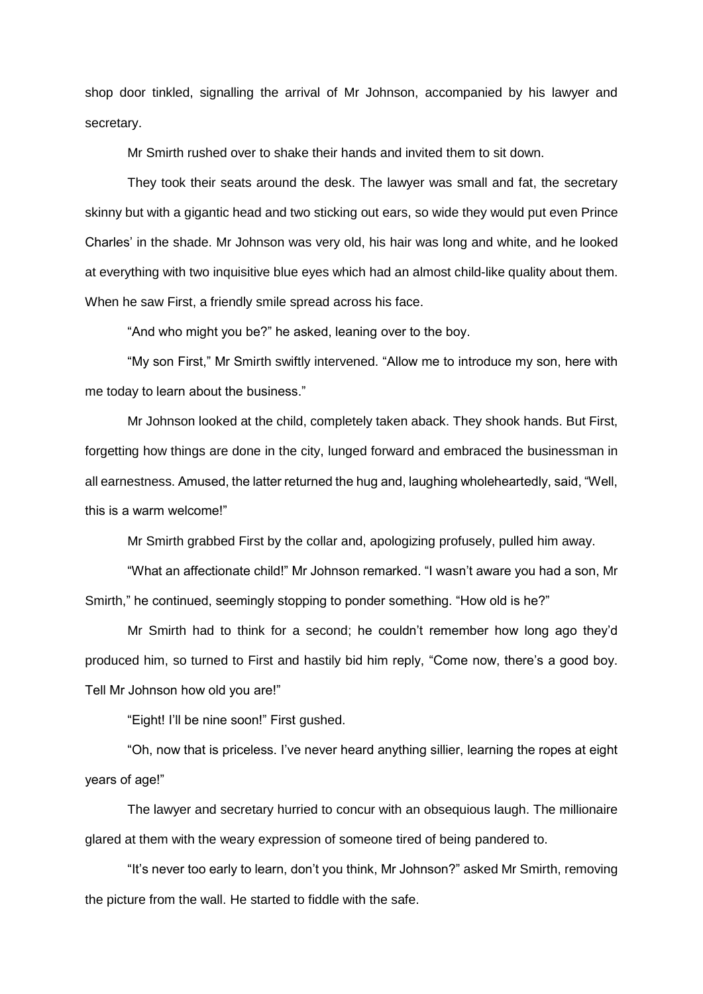shop door tinkled, signalling the arrival of Mr Johnson, accompanied by his lawyer and secretary.

Mr Smirth rushed over to shake their hands and invited them to sit down.

They took their seats around the desk. The lawyer was small and fat, the secretary skinny but with a gigantic head and two sticking out ears, so wide they would put even Prince Charles' in the shade. Mr Johnson was very old, his hair was long and white, and he looked at everything with two inquisitive blue eyes which had an almost child-like quality about them. When he saw First, a friendly smile spread across his face.

"And who might you be?" he asked, leaning over to the boy.

"My son First," Mr Smirth swiftly intervened. "Allow me to introduce my son, here with me today to learn about the business."

Mr Johnson looked at the child, completely taken aback. They shook hands. But First, forgetting how things are done in the city, lunged forward and embraced the businessman in all earnestness. Amused, the latter returned the hug and, laughing wholeheartedly, said, "Well, this is a warm welcome!"

Mr Smirth grabbed First by the collar and, apologizing profusely, pulled him away.

"What an affectionate child!" Mr Johnson remarked. "I wasn't aware you had a son, Mr Smirth," he continued, seemingly stopping to ponder something. "How old is he?"

Mr Smirth had to think for a second; he couldn't remember how long ago they'd produced him, so turned to First and hastily bid him reply, "Come now, there's a good boy. Tell Mr Johnson how old you are!"

"Eight! I'll be nine soon!" First gushed.

"Oh, now that is priceless. I've never heard anything sillier, learning the ropes at eight years of age!"

The lawyer and secretary hurried to concur with an obsequious laugh. The millionaire glared at them with the weary expression of someone tired of being pandered to.

"It's never too early to learn, don't you think, Mr Johnson?" asked Mr Smirth, removing the picture from the wall. He started to fiddle with the safe.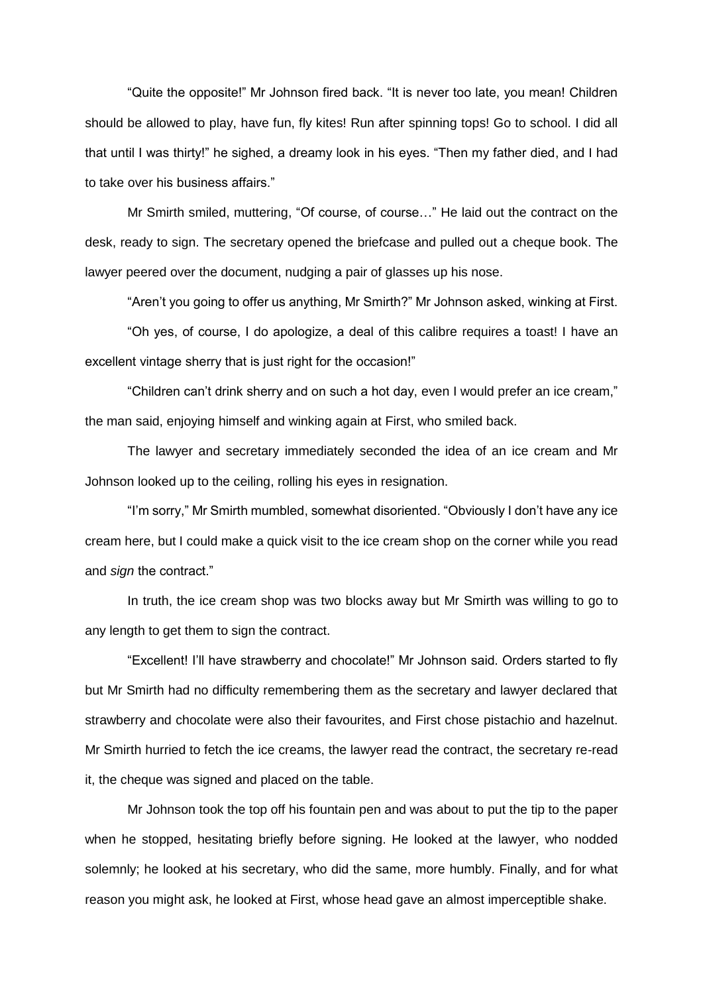"Quite the opposite!" Mr Johnson fired back. "It is never too late, you mean! Children should be allowed to play, have fun, fly kites! Run after spinning tops! Go to school. I did all that until I was thirty!" he sighed, a dreamy look in his eyes. "Then my father died, and I had to take over his business affairs."

Mr Smirth smiled, muttering, "Of course, of course…" He laid out the contract on the desk, ready to sign. The secretary opened the briefcase and pulled out a cheque book. The lawyer peered over the document, nudging a pair of glasses up his nose.

"Aren't you going to offer us anything, Mr Smirth?" Mr Johnson asked, winking at First.

"Oh yes, of course, I do apologize, a deal of this calibre requires a toast! I have an excellent vintage sherry that is just right for the occasion!"

"Children can't drink sherry and on such a hot day, even I would prefer an ice cream," the man said, enjoying himself and winking again at First, who smiled back.

The lawyer and secretary immediately seconded the idea of an ice cream and Mr Johnson looked up to the ceiling, rolling his eyes in resignation.

"I'm sorry," Mr Smirth mumbled, somewhat disoriented. "Obviously I don't have any ice cream here, but I could make a quick visit to the ice cream shop on the corner while you read and *sign* the contract."

In truth, the ice cream shop was two blocks away but Mr Smirth was willing to go to any length to get them to sign the contract.

"Excellent! I'll have strawberry and chocolate!" Mr Johnson said. Orders started to fly but Mr Smirth had no difficulty remembering them as the secretary and lawyer declared that strawberry and chocolate were also their favourites, and First chose pistachio and hazelnut. Mr Smirth hurried to fetch the ice creams, the lawyer read the contract, the secretary re-read it, the cheque was signed and placed on the table.

Mr Johnson took the top off his fountain pen and was about to put the tip to the paper when he stopped, hesitating briefly before signing. He looked at the lawyer, who nodded solemnly; he looked at his secretary, who did the same, more humbly. Finally, and for what reason you might ask, he looked at First, whose head gave an almost imperceptible shake.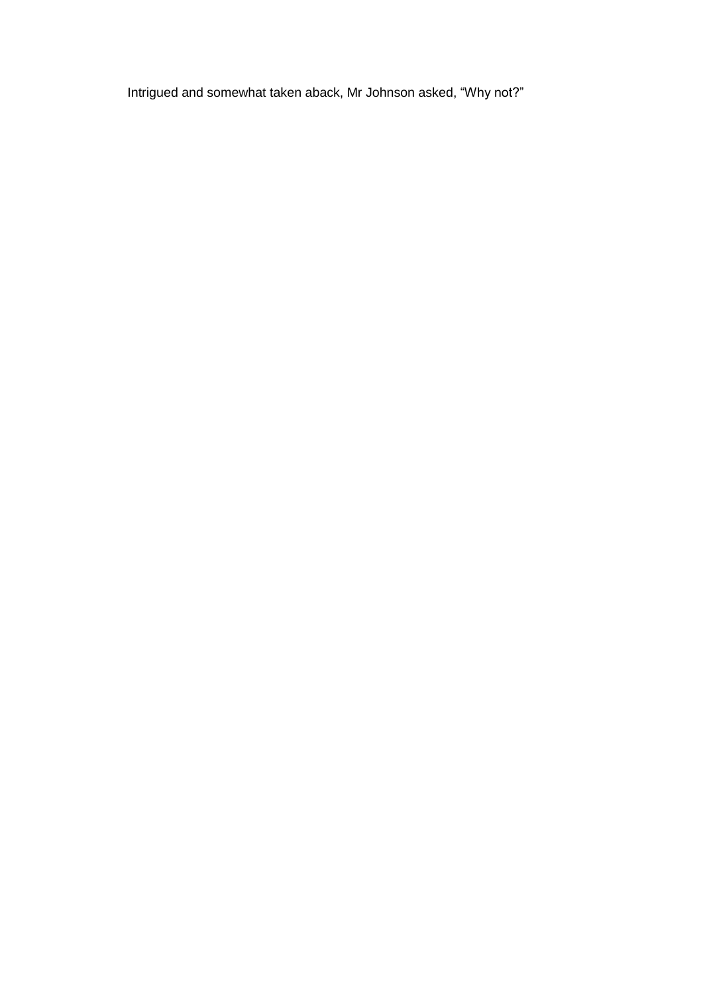Intrigued and somewhat taken aback, Mr Johnson asked, "Why not?"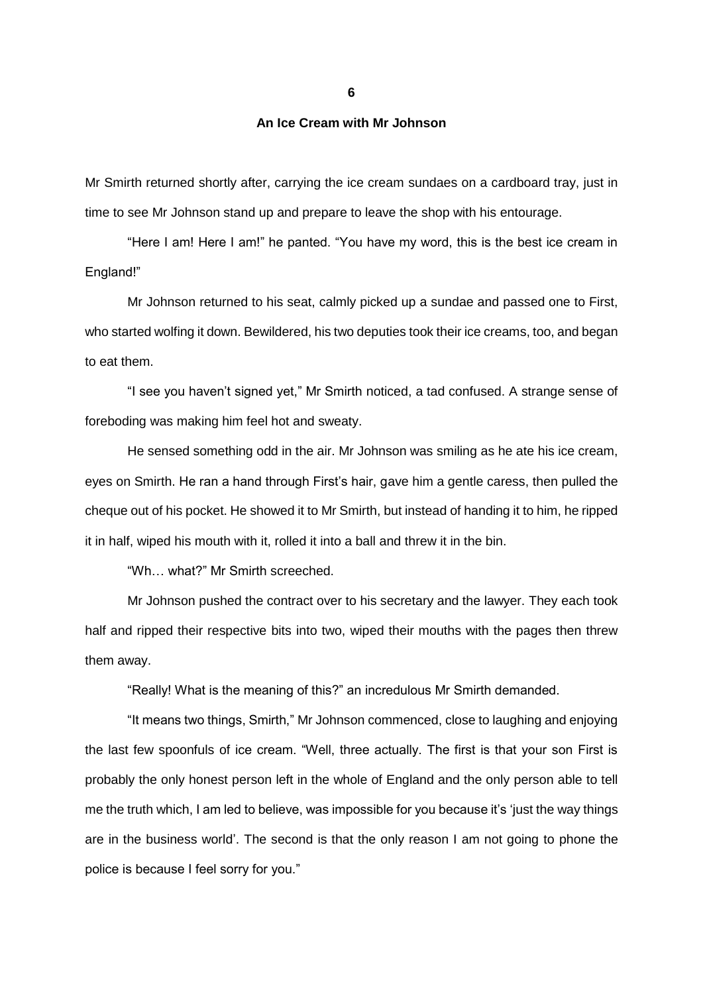**An Ice Cream with Mr Johnson**

Mr Smirth returned shortly after, carrying the ice cream sundaes on a cardboard tray, just in time to see Mr Johnson stand up and prepare to leave the shop with his entourage.

"Here I am! Here I am!" he panted. "You have my word, this is the best ice cream in England!"

Mr Johnson returned to his seat, calmly picked up a sundae and passed one to First, who started wolfing it down. Bewildered, his two deputies took their ice creams, too, and began to eat them.

"I see you haven't signed yet," Mr Smirth noticed, a tad confused. A strange sense of foreboding was making him feel hot and sweaty.

He sensed something odd in the air. Mr Johnson was smiling as he ate his ice cream, eyes on Smirth. He ran a hand through First's hair, gave him a gentle caress, then pulled the cheque out of his pocket. He showed it to Mr Smirth, but instead of handing it to him, he ripped it in half, wiped his mouth with it, rolled it into a ball and threw it in the bin.

"Wh… what?" Mr Smirth screeched.

Mr Johnson pushed the contract over to his secretary and the lawyer. They each took half and ripped their respective bits into two, wiped their mouths with the pages then threw them away.

"Really! What is the meaning of this?" an incredulous Mr Smirth demanded.

"It means two things, Smirth," Mr Johnson commenced, close to laughing and enjoying the last few spoonfuls of ice cream. "Well, three actually. The first is that your son First is probably the only honest person left in the whole of England and the only person able to tell me the truth which, I am led to believe, was impossible for you because it's 'just the way things are in the business world'. The second is that the only reason I am not going to phone the police is because I feel sorry for you."

**6**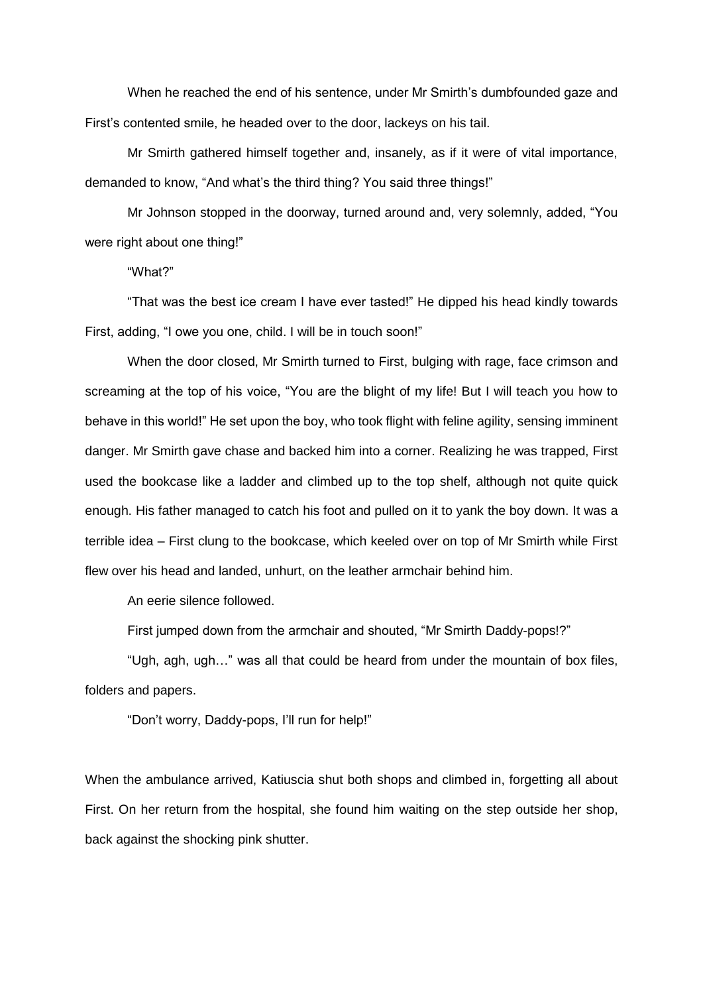When he reached the end of his sentence, under Mr Smirth's dumbfounded gaze and First's contented smile, he headed over to the door, lackeys on his tail.

Mr Smirth gathered himself together and, insanely, as if it were of vital importance, demanded to know, "And what's the third thing? You said three things!"

Mr Johnson stopped in the doorway, turned around and, very solemnly, added, "You were right about one thing!"

"What?"

"That was the best ice cream I have ever tasted!" He dipped his head kindly towards First, adding, "I owe you one, child. I will be in touch soon!"

When the door closed, Mr Smirth turned to First, bulging with rage, face crimson and screaming at the top of his voice, "You are the blight of my life! But I will teach you how to behave in this world!" He set upon the boy, who took flight with feline agility, sensing imminent danger. Mr Smirth gave chase and backed him into a corner. Realizing he was trapped, First used the bookcase like a ladder and climbed up to the top shelf, although not quite quick enough. His father managed to catch his foot and pulled on it to yank the boy down. It was a terrible idea – First clung to the bookcase, which keeled over on top of Mr Smirth while First flew over his head and landed, unhurt, on the leather armchair behind him.

An eerie silence followed.

First jumped down from the armchair and shouted, "Mr Smirth Daddy-pops!?"

"Ugh, agh, ugh…" was all that could be heard from under the mountain of box files, folders and papers.

"Don't worry, Daddy-pops, I'll run for help!"

When the ambulance arrived, Katiuscia shut both shops and climbed in, forgetting all about First. On her return from the hospital, she found him waiting on the step outside her shop, back against the shocking pink shutter.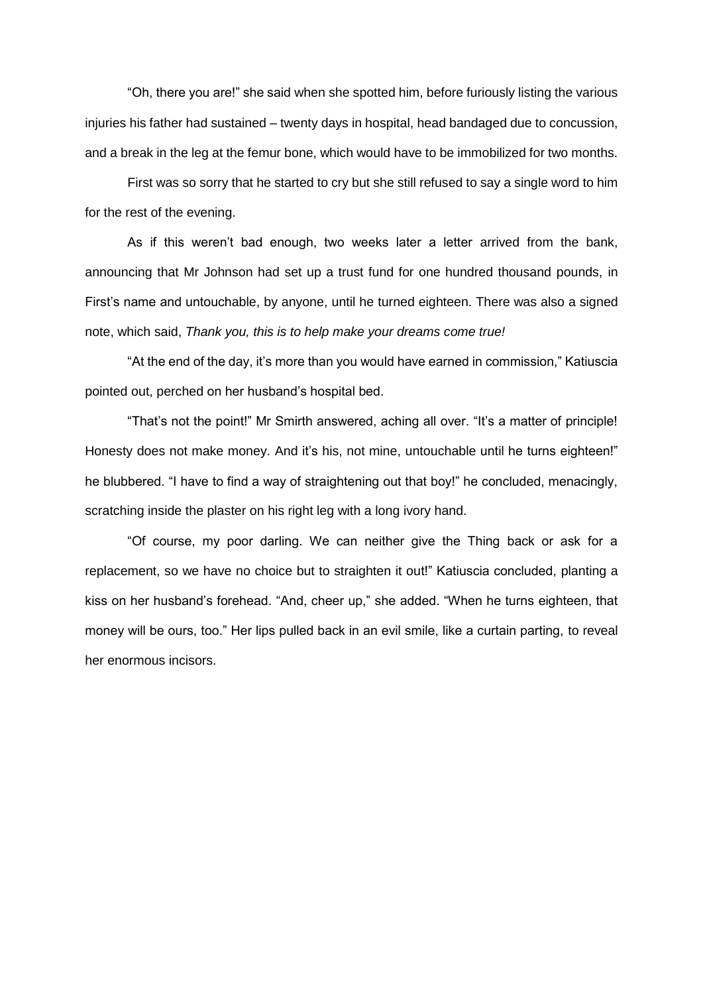"Oh, there you are!" she said when she spotted him, before furiously listing the various injuries his father had sustained – twenty days in hospital, head bandaged due to concussion, and a break in the leg at the femur bone, which would have to be immobilized for two months.

First was so sorry that he started to cry but she still refused to say a single word to him for the rest of the evening.

As if this weren't bad enough, two weeks later a letter arrived from the bank, announcing that Mr Johnson had set up a trust fund for one hundred thousand pounds, in First's name and untouchable, by anyone, until he turned eighteen. There was also a signed note, which said, *Thank you, this is to help make your dreams come true!*

"At the end of the day, it's more than you would have earned in commission," Katiuscia pointed out, perched on her husband's hospital bed.

"That's not the point!" Mr Smirth answered, aching all over. "It's a matter of principle! Honesty does not make money. And it's his, not mine, untouchable until he turns eighteen!" he blubbered. "I have to find a way of straightening out that boy!" he concluded, menacingly, scratching inside the plaster on his right leg with a long ivory hand.

"Of course, my poor darling. We can neither give the Thing back or ask for a replacement, so we have no choice but to straighten it out!" Katiuscia concluded, planting a kiss on her husband's forehead. "And, cheer up," she added. "When he turns eighteen, that money will be ours, too." Her lips pulled back in an evil smile, like a curtain parting, to reveal her enormous incisors.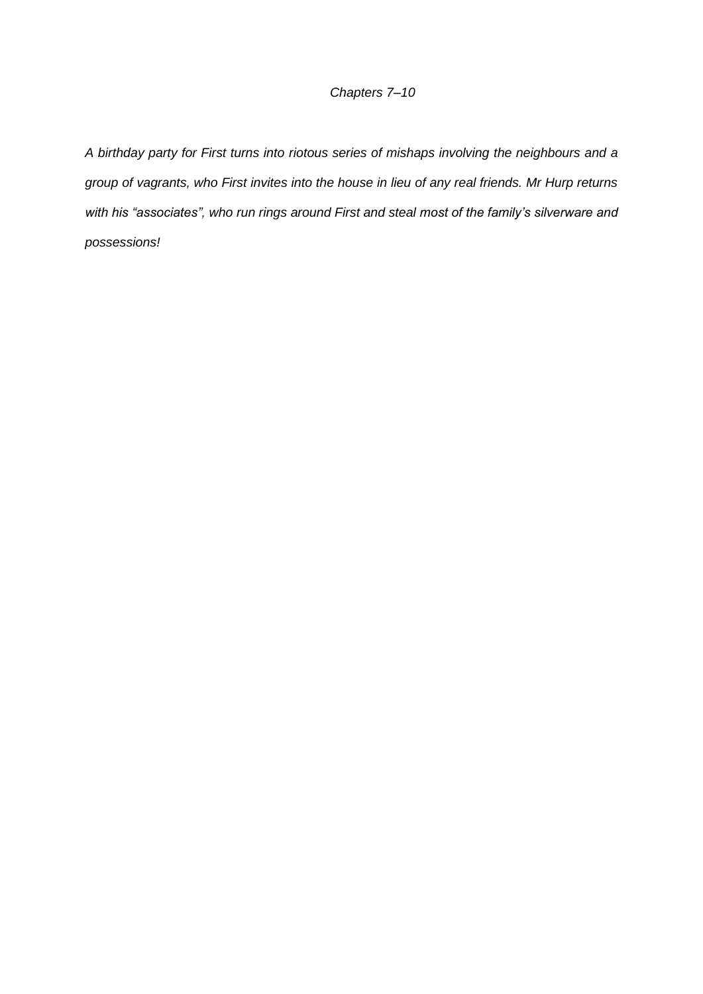## *Chapters 7–10*

*A birthday party for First turns into riotous series of mishaps involving the neighbours and a group of vagrants, who First invites into the house in lieu of any real friends. Mr Hurp returns with his "associates", who run rings around First and steal most of the family's silverware and possessions!*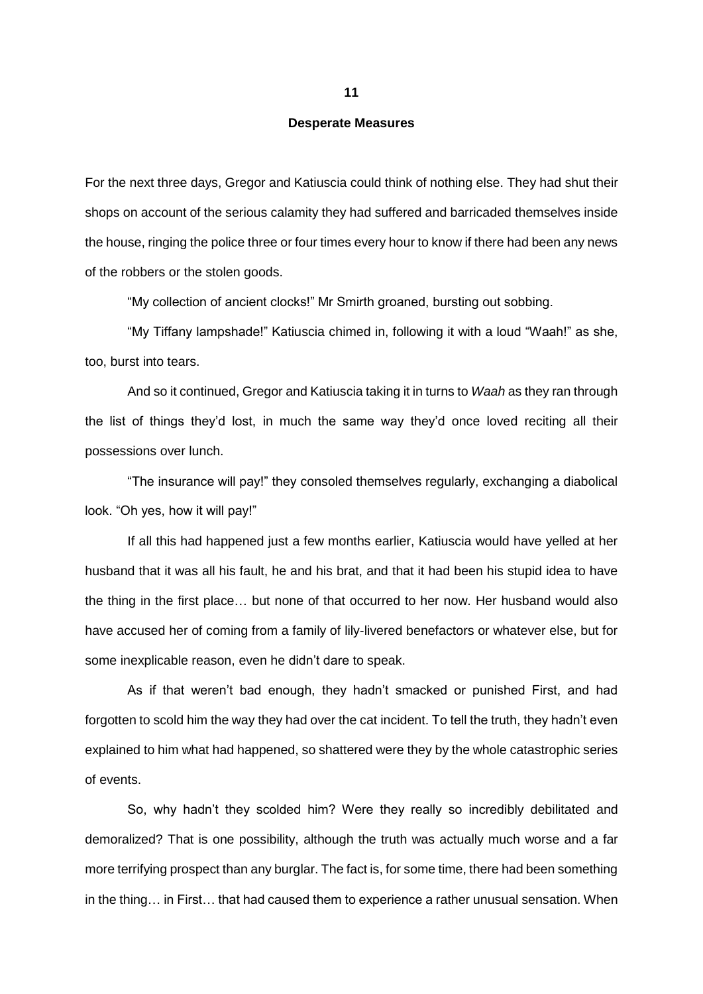#### **Desperate Measures**

For the next three days, Gregor and Katiuscia could think of nothing else. They had shut their shops on account of the serious calamity they had suffered and barricaded themselves inside the house, ringing the police three or four times every hour to know if there had been any news of the robbers or the stolen goods.

"My collection of ancient clocks!" Mr Smirth groaned, bursting out sobbing.

"My Tiffany lampshade!" Katiuscia chimed in, following it with a loud "Waah!" as she, too, burst into tears.

And so it continued, Gregor and Katiuscia taking it in turns to *Waah* as they ran through the list of things they'd lost, in much the same way they'd once loved reciting all their possessions over lunch.

"The insurance will pay!" they consoled themselves regularly, exchanging a diabolical look. "Oh yes, how it will pay!"

If all this had happened just a few months earlier, Katiuscia would have yelled at her husband that it was all his fault, he and his brat, and that it had been his stupid idea to have the thing in the first place… but none of that occurred to her now. Her husband would also have accused her of coming from a family of lily-livered benefactors or whatever else, but for some inexplicable reason, even he didn't dare to speak.

As if that weren't bad enough, they hadn't smacked or punished First, and had forgotten to scold him the way they had over the cat incident. To tell the truth, they hadn't even explained to him what had happened, so shattered were they by the whole catastrophic series of events.

So, why hadn't they scolded him? Were they really so incredibly debilitated and demoralized? That is one possibility, although the truth was actually much worse and a far more terrifying prospect than any burglar. The fact is, for some time, there had been something in the thing… in First… that had caused them to experience a rather unusual sensation. When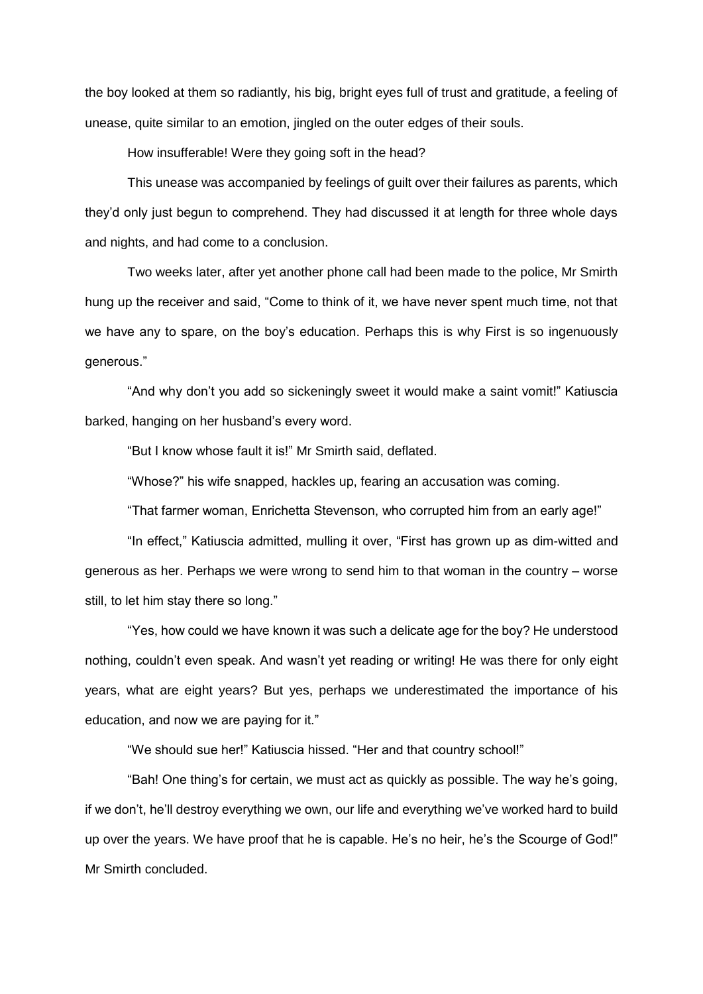the boy looked at them so radiantly, his big, bright eyes full of trust and gratitude, a feeling of unease, quite similar to an emotion, jingled on the outer edges of their souls.

How insufferable! Were they going soft in the head?

This unease was accompanied by feelings of guilt over their failures as parents, which they'd only just begun to comprehend. They had discussed it at length for three whole days and nights, and had come to a conclusion.

Two weeks later, after yet another phone call had been made to the police, Mr Smirth hung up the receiver and said, "Come to think of it, we have never spent much time, not that we have any to spare, on the boy's education. Perhaps this is why First is so ingenuously generous."

"And why don't you add so sickeningly sweet it would make a saint vomit!" Katiuscia barked, hanging on her husband's every word.

"But I know whose fault it is!" Mr Smirth said, deflated.

"Whose?" his wife snapped, hackles up, fearing an accusation was coming.

"That farmer woman, Enrichetta Stevenson, who corrupted him from an early age!"

"In effect," Katiuscia admitted, mulling it over, "First has grown up as dim-witted and generous as her. Perhaps we were wrong to send him to that woman in the country – worse still, to let him stay there so long."

"Yes, how could we have known it was such a delicate age for the boy? He understood nothing, couldn't even speak. And wasn't yet reading or writing! He was there for only eight years, what are eight years? But yes, perhaps we underestimated the importance of his education, and now we are paying for it."

"We should sue her!" Katiuscia hissed. "Her and that country school!"

"Bah! One thing's for certain, we must act as quickly as possible. The way he's going, if we don't, he'll destroy everything we own, our life and everything we've worked hard to build up over the years. We have proof that he is capable. He's no heir, he's the Scourge of God!" Mr Smirth concluded.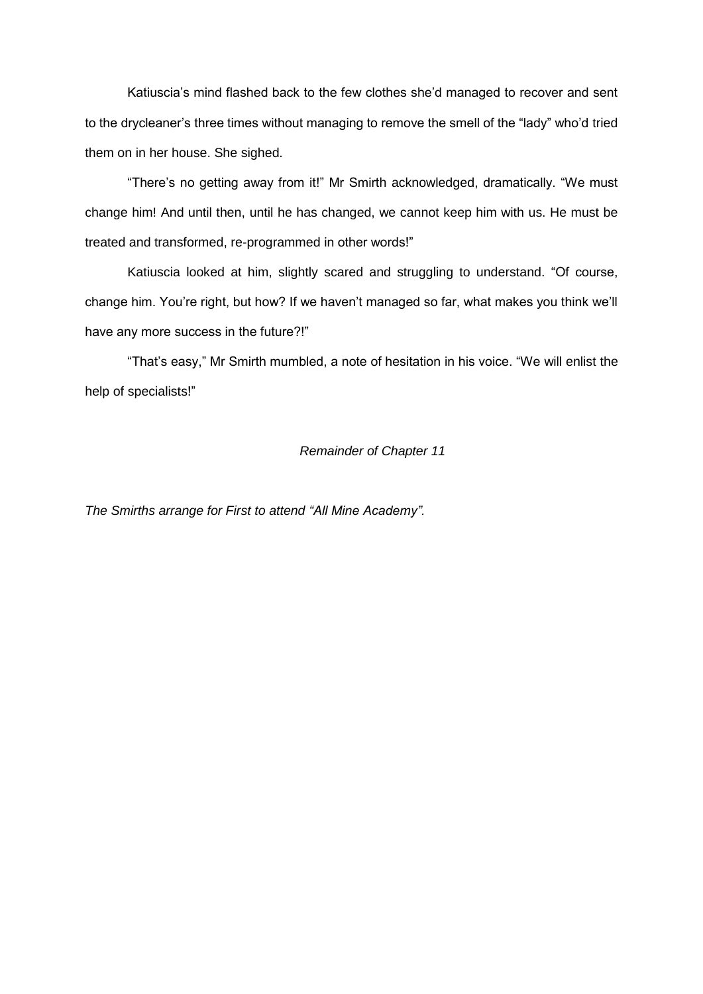Katiuscia's mind flashed back to the few clothes she'd managed to recover and sent to the drycleaner's three times without managing to remove the smell of the "lady" who'd tried them on in her house. She sighed.

"There's no getting away from it!" Mr Smirth acknowledged, dramatically. "We must change him! And until then, until he has changed, we cannot keep him with us. He must be treated and transformed, re-programmed in other words!"

Katiuscia looked at him, slightly scared and struggling to understand. "Of course, change him. You're right, but how? If we haven't managed so far, what makes you think we'll have any more success in the future?!"

"That's easy," Mr Smirth mumbled, a note of hesitation in his voice. "We will enlist the help of specialists!"

### *Remainder of Chapter 11*

*The Smirths arrange for First to attend "All Mine Academy".*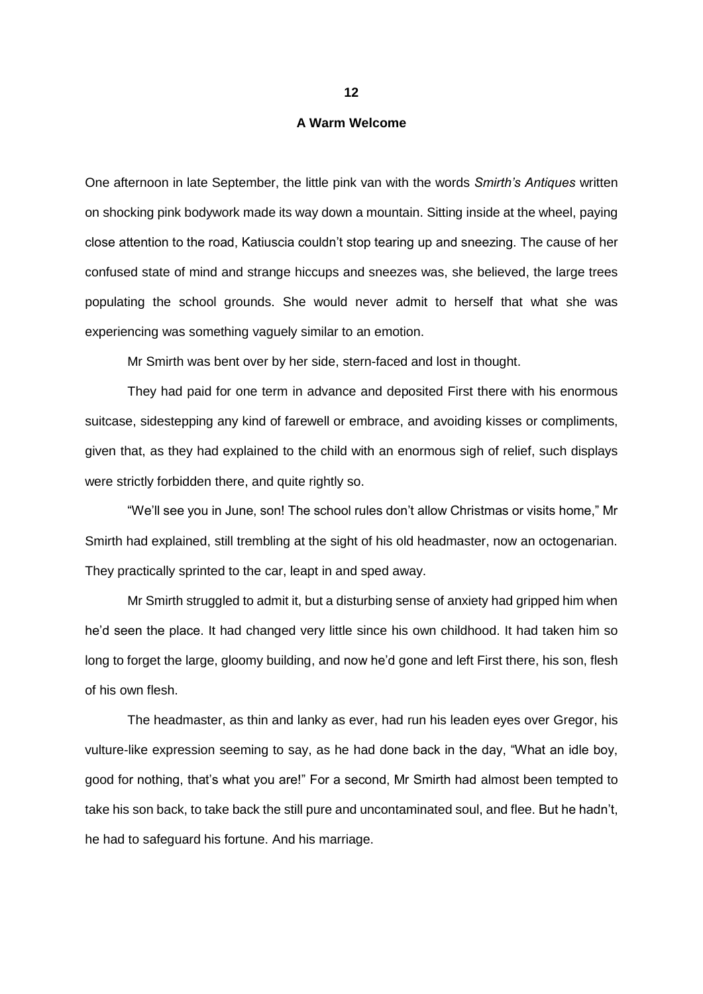### **A Warm Welcome**

One afternoon in late September, the little pink van with the words *Smirth's Antiques* written on shocking pink bodywork made its way down a mountain. Sitting inside at the wheel, paying close attention to the road, Katiuscia couldn't stop tearing up and sneezing. The cause of her confused state of mind and strange hiccups and sneezes was, she believed, the large trees populating the school grounds. She would never admit to herself that what she was experiencing was something vaguely similar to an emotion.

Mr Smirth was bent over by her side, stern-faced and lost in thought.

They had paid for one term in advance and deposited First there with his enormous suitcase, sidestepping any kind of farewell or embrace, and avoiding kisses or compliments, given that, as they had explained to the child with an enormous sigh of relief, such displays were strictly forbidden there, and quite rightly so.

"We'll see you in June, son! The school rules don't allow Christmas or visits home," Mr Smirth had explained, still trembling at the sight of his old headmaster, now an octogenarian. They practically sprinted to the car, leapt in and sped away.

Mr Smirth struggled to admit it, but a disturbing sense of anxiety had gripped him when he'd seen the place. It had changed very little since his own childhood. It had taken him so long to forget the large, gloomy building, and now he'd gone and left First there, his son, flesh of his own flesh.

The headmaster, as thin and lanky as ever, had run his leaden eyes over Gregor, his vulture-like expression seeming to say, as he had done back in the day, "What an idle boy, good for nothing, that's what you are!" For a second, Mr Smirth had almost been tempted to take his son back, to take back the still pure and uncontaminated soul, and flee. But he hadn't, he had to safeguard his fortune. And his marriage.

**12**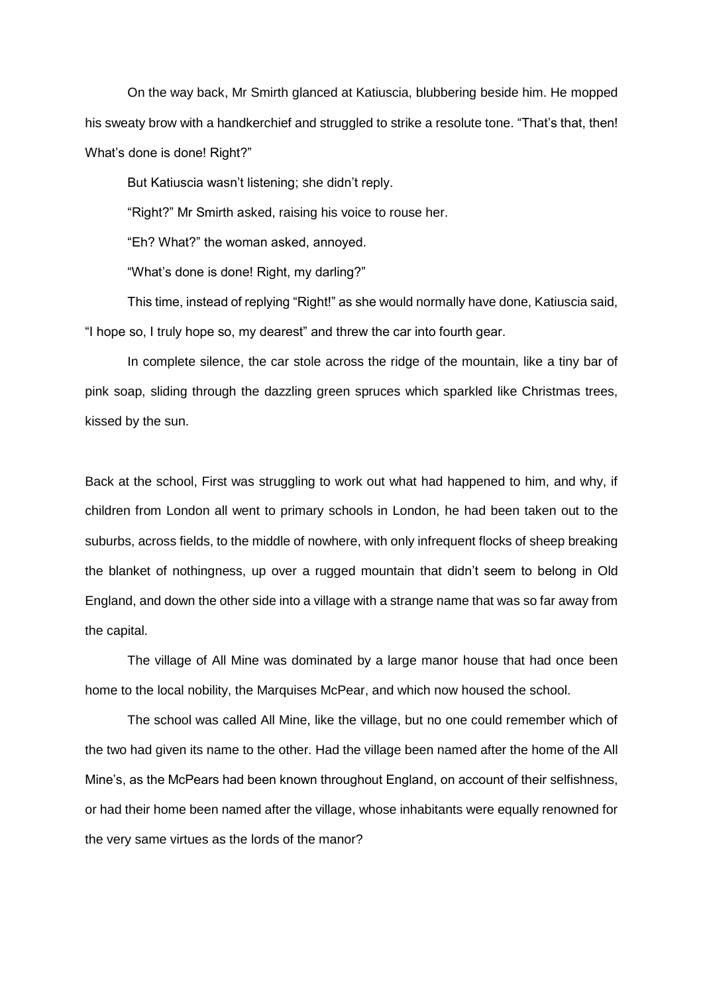On the way back, Mr Smirth glanced at Katiuscia, blubbering beside him. He mopped his sweaty brow with a handkerchief and struggled to strike a resolute tone. "That's that, then! What's done is done! Right?"

But Katiuscia wasn't listening; she didn't reply.

"Right?" Mr Smirth asked, raising his voice to rouse her.

"Eh? What?" the woman asked, annoyed.

"What's done is done! Right, my darling?"

This time, instead of replying "Right!" as she would normally have done, Katiuscia said, "I hope so, I truly hope so, my dearest" and threw the car into fourth gear.

In complete silence, the car stole across the ridge of the mountain, like a tiny bar of pink soap, sliding through the dazzling green spruces which sparkled like Christmas trees, kissed by the sun.

Back at the school, First was struggling to work out what had happened to him, and why, if children from London all went to primary schools in London, he had been taken out to the suburbs, across fields, to the middle of nowhere, with only infrequent flocks of sheep breaking the blanket of nothingness, up over a rugged mountain that didn't seem to belong in Old England, and down the other side into a village with a strange name that was so far away from the capital.

The village of All Mine was dominated by a large manor house that had once been home to the local nobility, the Marquises McPear, and which now housed the school.

The school was called All Mine, like the village, but no one could remember which of the two had given its name to the other. Had the village been named after the home of the All Mine's, as the McPears had been known throughout England, on account of their selfishness, or had their home been named after the village, whose inhabitants were equally renowned for the very same virtues as the lords of the manor?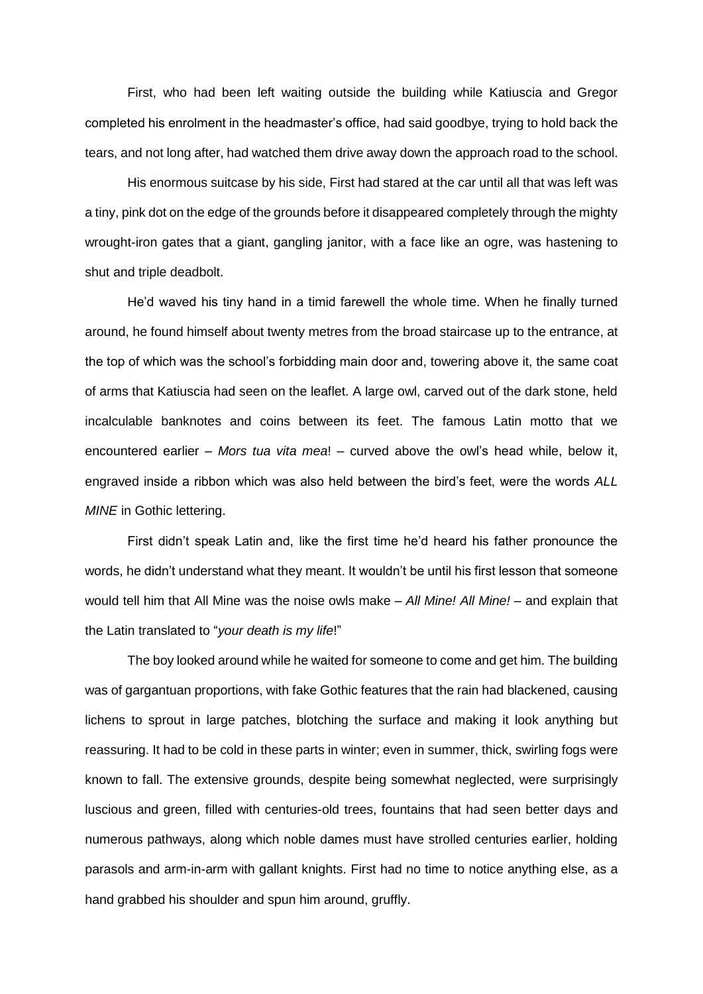First, who had been left waiting outside the building while Katiuscia and Gregor completed his enrolment in the headmaster's office, had said goodbye, trying to hold back the tears, and not long after, had watched them drive away down the approach road to the school.

His enormous suitcase by his side, First had stared at the car until all that was left was a tiny, pink dot on the edge of the grounds before it disappeared completely through the mighty wrought-iron gates that a giant, gangling janitor, with a face like an ogre, was hastening to shut and triple deadbolt.

He'd waved his tiny hand in a timid farewell the whole time. When he finally turned around, he found himself about twenty metres from the broad staircase up to the entrance, at the top of which was the school's forbidding main door and, towering above it, the same coat of arms that Katiuscia had seen on the leaflet. A large owl, carved out of the dark stone, held incalculable banknotes and coins between its feet. The famous Latin motto that we encountered earlier – *Mors tua vita mea*! – curved above the owl's head while, below it, engraved inside a ribbon which was also held between the bird's feet, were the words *ALL MINE* in Gothic lettering.

First didn't speak Latin and, like the first time he'd heard his father pronounce the words, he didn't understand what they meant. It wouldn't be until his first lesson that someone would tell him that All Mine was the noise owls make – *All Mine! All Mine!* – and explain that the Latin translated to "*your death is my life*!"

The boy looked around while he waited for someone to come and get him. The building was of gargantuan proportions, with fake Gothic features that the rain had blackened, causing lichens to sprout in large patches, blotching the surface and making it look anything but reassuring. It had to be cold in these parts in winter; even in summer, thick, swirling fogs were known to fall. The extensive grounds, despite being somewhat neglected, were surprisingly luscious and green, filled with centuries-old trees, fountains that had seen better days and numerous pathways, along which noble dames must have strolled centuries earlier, holding parasols and arm-in-arm with gallant knights. First had no time to notice anything else, as a hand grabbed his shoulder and spun him around, gruffly.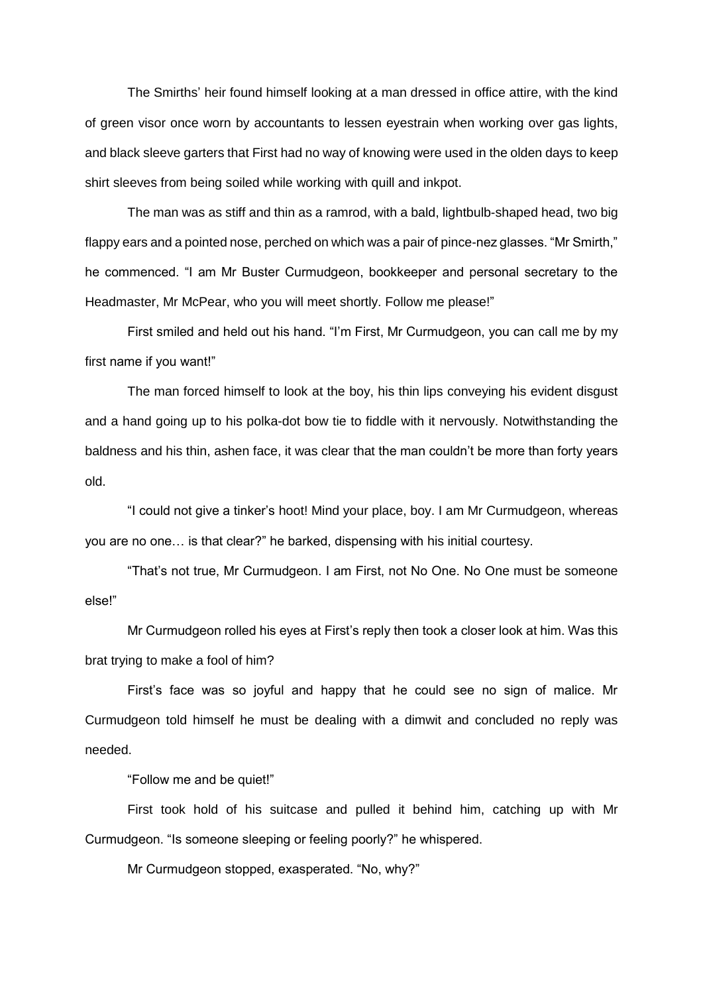The Smirths' heir found himself looking at a man dressed in office attire, with the kind of green visor once worn by accountants to lessen eyestrain when working over gas lights, and black sleeve garters that First had no way of knowing were used in the olden days to keep shirt sleeves from being soiled while working with quill and inkpot.

The man was as stiff and thin as a ramrod, with a bald, lightbulb-shaped head, two big flappy ears and a pointed nose, perched on which was a pair of pince-nez glasses. "Mr Smirth," he commenced. "I am Mr Buster Curmudgeon, bookkeeper and personal secretary to the Headmaster, Mr McPear, who you will meet shortly. Follow me please!"

First smiled and held out his hand. "I'm First, Mr Curmudgeon, you can call me by my first name if you want!"

The man forced himself to look at the boy, his thin lips conveying his evident disgust and a hand going up to his polka-dot bow tie to fiddle with it nervously. Notwithstanding the baldness and his thin, ashen face, it was clear that the man couldn't be more than forty years old.

"I could not give a tinker's hoot! Mind your place, boy. I am Mr Curmudgeon, whereas you are no one… is that clear?" he barked, dispensing with his initial courtesy.

"That's not true, Mr Curmudgeon. I am First, not No One. No One must be someone else!"

Mr Curmudgeon rolled his eyes at First's reply then took a closer look at him. Was this brat trying to make a fool of him?

First's face was so joyful and happy that he could see no sign of malice. Mr Curmudgeon told himself he must be dealing with a dimwit and concluded no reply was needed.

"Follow me and be quiet!"

First took hold of his suitcase and pulled it behind him, catching up with Mr Curmudgeon. "Is someone sleeping or feeling poorly?" he whispered.

Mr Curmudgeon stopped, exasperated. "No, why?"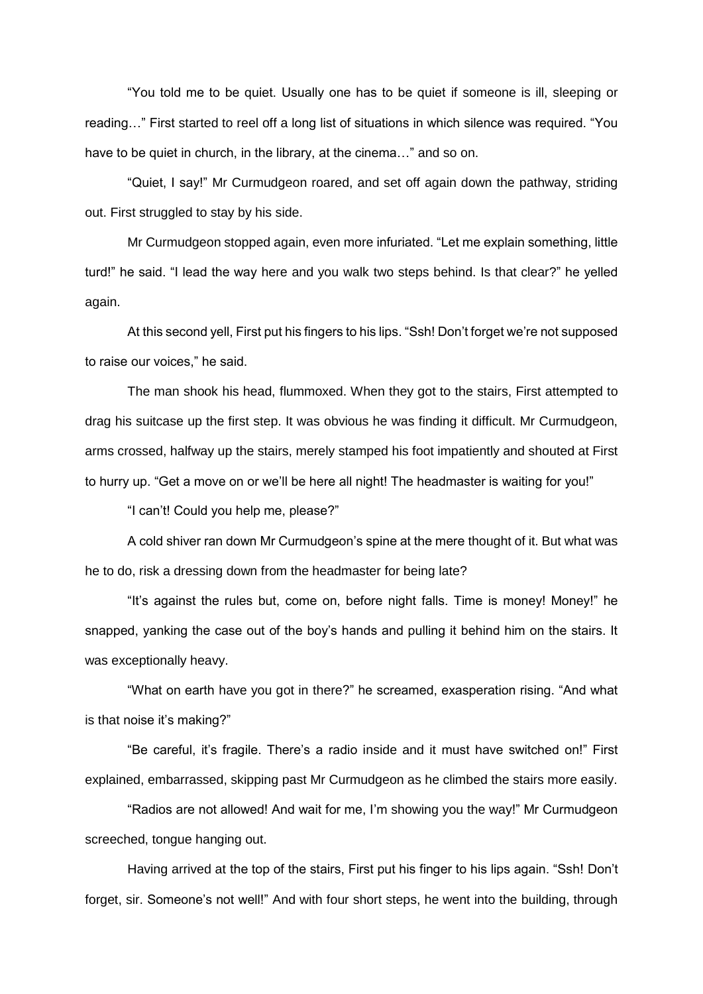"You told me to be quiet. Usually one has to be quiet if someone is ill, sleeping or reading…" First started to reel off a long list of situations in which silence was required. "You have to be quiet in church, in the library, at the cinema…" and so on.

"Quiet, I say!" Mr Curmudgeon roared, and set off again down the pathway, striding out. First struggled to stay by his side.

Mr Curmudgeon stopped again, even more infuriated. "Let me explain something, little turd!" he said. "I lead the way here and you walk two steps behind. Is that clear?" he yelled again.

At this second yell, First put his fingers to his lips. "Ssh! Don't forget we're not supposed to raise our voices," he said.

The man shook his head, flummoxed. When they got to the stairs, First attempted to drag his suitcase up the first step. It was obvious he was finding it difficult. Mr Curmudgeon, arms crossed, halfway up the stairs, merely stamped his foot impatiently and shouted at First to hurry up. "Get a move on or we'll be here all night! The headmaster is waiting for you!"

"I can't! Could you help me, please?"

A cold shiver ran down Mr Curmudgeon's spine at the mere thought of it. But what was he to do, risk a dressing down from the headmaster for being late?

"It's against the rules but, come on, before night falls. Time is money! Money!" he snapped, yanking the case out of the boy's hands and pulling it behind him on the stairs. It was exceptionally heavy.

"What on earth have you got in there?" he screamed, exasperation rising. "And what is that noise it's making?"

"Be careful, it's fragile. There's a radio inside and it must have switched on!" First explained, embarrassed, skipping past Mr Curmudgeon as he climbed the stairs more easily.

"Radios are not allowed! And wait for me, I'm showing you the way!" Mr Curmudgeon screeched, tongue hanging out.

Having arrived at the top of the stairs, First put his finger to his lips again. "Ssh! Don't forget, sir. Someone's not well!" And with four short steps, he went into the building, through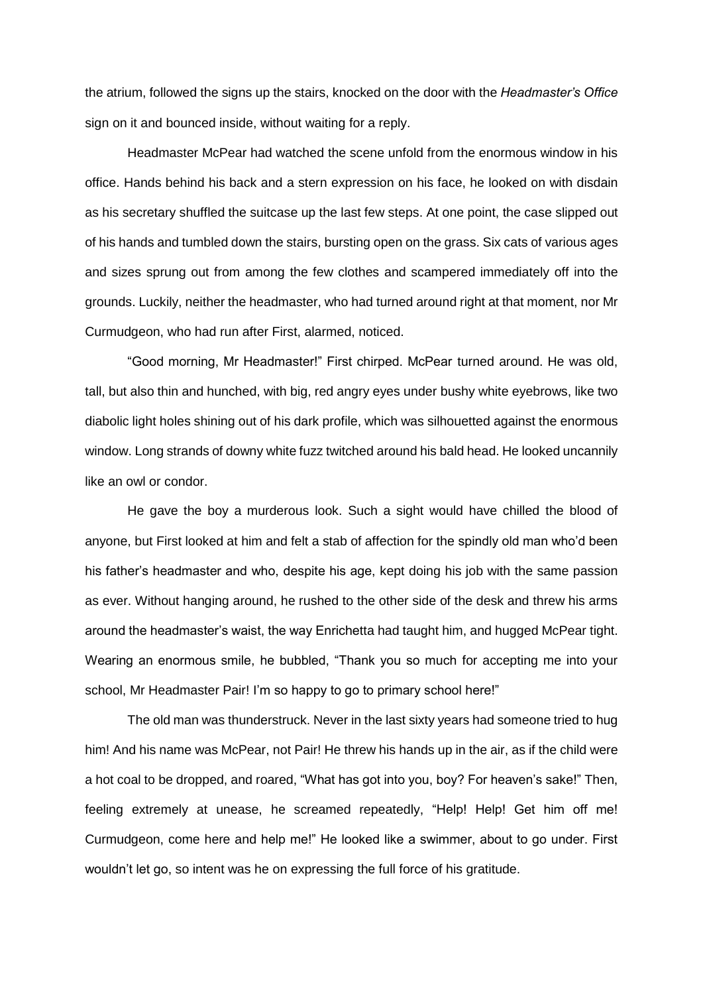the atrium, followed the signs up the stairs, knocked on the door with the *Headmaster's Office* sign on it and bounced inside, without waiting for a reply.

Headmaster McPear had watched the scene unfold from the enormous window in his office. Hands behind his back and a stern expression on his face, he looked on with disdain as his secretary shuffled the suitcase up the last few steps. At one point, the case slipped out of his hands and tumbled down the stairs, bursting open on the grass. Six cats of various ages and sizes sprung out from among the few clothes and scampered immediately off into the grounds. Luckily, neither the headmaster, who had turned around right at that moment, nor Mr Curmudgeon, who had run after First, alarmed, noticed.

"Good morning, Mr Headmaster!" First chirped. McPear turned around. He was old, tall, but also thin and hunched, with big, red angry eyes under bushy white eyebrows, like two diabolic light holes shining out of his dark profile, which was silhouetted against the enormous window. Long strands of downy white fuzz twitched around his bald head. He looked uncannily like an owl or condor.

He gave the boy a murderous look. Such a sight would have chilled the blood of anyone, but First looked at him and felt a stab of affection for the spindly old man who'd been his father's headmaster and who, despite his age, kept doing his job with the same passion as ever. Without hanging around, he rushed to the other side of the desk and threw his arms around the headmaster's waist, the way Enrichetta had taught him, and hugged McPear tight. Wearing an enormous smile, he bubbled, "Thank you so much for accepting me into your school, Mr Headmaster Pair! I'm so happy to go to primary school here!"

The old man was thunderstruck. Never in the last sixty years had someone tried to hug him! And his name was McPear, not Pair! He threw his hands up in the air, as if the child were a hot coal to be dropped, and roared, "What has got into you, boy? For heaven's sake!" Then, feeling extremely at unease, he screamed repeatedly, "Help! Help! Get him off me! Curmudgeon, come here and help me!" He looked like a swimmer, about to go under. First wouldn't let go, so intent was he on expressing the full force of his gratitude.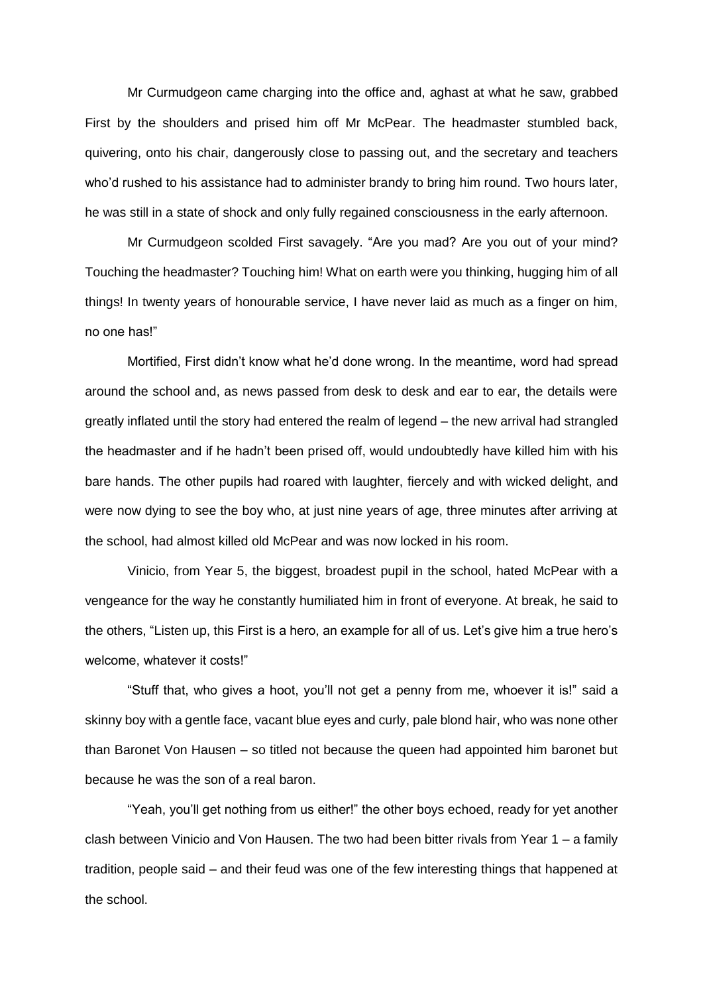Mr Curmudgeon came charging into the office and, aghast at what he saw, grabbed First by the shoulders and prised him off Mr McPear. The headmaster stumbled back, quivering, onto his chair, dangerously close to passing out, and the secretary and teachers who'd rushed to his assistance had to administer brandy to bring him round. Two hours later, he was still in a state of shock and only fully regained consciousness in the early afternoon.

Mr Curmudgeon scolded First savagely. "Are you mad? Are you out of your mind? Touching the headmaster? Touching him! What on earth were you thinking, hugging him of all things! In twenty years of honourable service, I have never laid as much as a finger on him, no one has!"

Mortified, First didn't know what he'd done wrong. In the meantime, word had spread around the school and, as news passed from desk to desk and ear to ear, the details were greatly inflated until the story had entered the realm of legend – the new arrival had strangled the headmaster and if he hadn't been prised off, would undoubtedly have killed him with his bare hands. The other pupils had roared with laughter, fiercely and with wicked delight, and were now dying to see the boy who, at just nine years of age, three minutes after arriving at the school, had almost killed old McPear and was now locked in his room.

Vinicio, from Year 5, the biggest, broadest pupil in the school, hated McPear with a vengeance for the way he constantly humiliated him in front of everyone. At break, he said to the others, "Listen up, this First is a hero, an example for all of us. Let's give him a true hero's welcome, whatever it costs!"

"Stuff that, who gives a hoot, you'll not get a penny from me, whoever it is!" said a skinny boy with a gentle face, vacant blue eyes and curly, pale blond hair, who was none other than Baronet Von Hausen – so titled not because the queen had appointed him baronet but because he was the son of a real baron.

"Yeah, you'll get nothing from us either!" the other boys echoed, ready for yet another clash between Vinicio and Von Hausen. The two had been bitter rivals from Year 1 – a family tradition, people said – and their feud was one of the few interesting things that happened at the school.